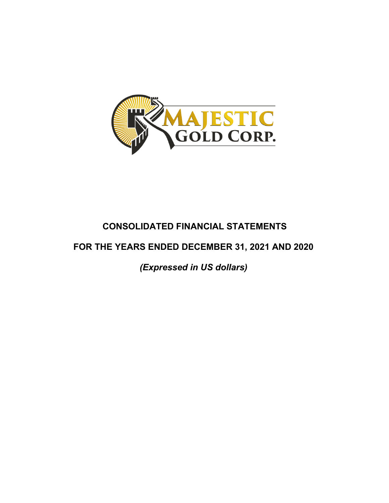

# **CONSOLIDATED FINANCIAL STATEMENTS**

# **FOR THE YEARS ENDED DECEMBER 31, 2021 AND 2020**

*(Expressed in US dollars)*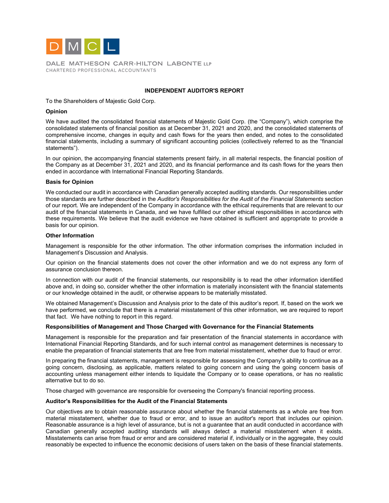

DALE MATHESON CARR-HILTON LABONTE LLP CHARTERED PROFESSIONAL ACCOUNTANTS

#### **INDEPENDENT AUDITOR'S REPORT**

To the Shareholders of Majestic Gold Corp.

#### **Opinion**

We have audited the consolidated financial statements of Majestic Gold Corp. (the "Company"), which comprise the consolidated statements of financial position as at December 31, 2021 and 2020, and the consolidated statements of comprehensive income, changes in equity and cash flows for the years then ended, and notes to the consolidated financial statements, including a summary of significant accounting policies (collectively referred to as the "financial statements").

In our opinion, the accompanying financial statements present fairly, in all material respects, the financial position of the Company as at December 31, 2021 and 2020, and its financial performance and its cash flows for the years then ended in accordance with International Financial Reporting Standards.

#### **Basis for Opinion**

We conducted our audit in accordance with Canadian generally accepted auditing standards. Our responsibilities under those standards are further described in the *Auditor's Responsibilities for the Audit of the Financial Statements* section of our report. We are independent of the Company in accordance with the ethical requirements that are relevant to our audit of the financial statements in Canada, and we have fulfilled our other ethical responsibilities in accordance with these requirements. We believe that the audit evidence we have obtained is sufficient and appropriate to provide a basis for our opinion.

#### **Other Information**

Management is responsible for the other information. The other information comprises the information included in Management's Discussion and Analysis.

Our opinion on the financial statements does not cover the other information and we do not express any form of assurance conclusion thereon.

In connection with our audit of the financial statements, our responsibility is to read the other information identified above and, in doing so, consider whether the other information is materially inconsistent with the financial statements or our knowledge obtained in the audit, or otherwise appears to be materially misstated.

We obtained Management's Discussion and Analysis prior to the date of this auditor's report. If, based on the work we have performed, we conclude that there is a material misstatement of this other information, we are required to report that fact. We have nothing to report in this regard.

#### **Responsibilities of Management and Those Charged with Governance for the Financial Statements**

Management is responsible for the preparation and fair presentation of the financial statements in accordance with International Financial Reporting Standards, and for such internal control as management determines is necessary to enable the preparation of financial statements that are free from material misstatement, whether due to fraud or error.

In preparing the financial statements, management is responsible for assessing the Company's ability to continue as a going concern, disclosing, as applicable, matters related to going concern and using the going concern basis of accounting unless management either intends to liquidate the Company or to cease operations, or has no realistic alternative but to do so.

Those charged with governance are responsible for overseeing the Company's financial reporting process.

#### **Auditor's Responsibilities for the Audit of the Financial Statements**

Our objectives are to obtain reasonable assurance about whether the financial statements as a whole are free from material misstatement, whether due to fraud or error, and to issue an auditor's report that includes our opinion. Reasonable assurance is a high level of assurance, but is not a guarantee that an audit conducted in accordance with Canadian generally accepted auditing standards will always detect a material misstatement when it exists. Misstatements can arise from fraud or error and are considered material if, individually or in the aggregate, they could reasonably be expected to influence the economic decisions of users taken on the basis of these financial statements.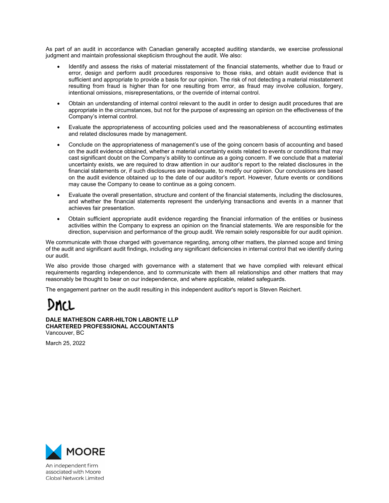As part of an audit in accordance with Canadian generally accepted auditing standards, we exercise professional judgment and maintain professional skepticism throughout the audit. We also:

- Identify and assess the risks of material misstatement of the financial statements, whether due to fraud or error, design and perform audit procedures responsive to those risks, and obtain audit evidence that is sufficient and appropriate to provide a basis for our opinion. The risk of not detecting a material misstatement resulting from fraud is higher than for one resulting from error, as fraud may involve collusion, forgery, intentional omissions, misrepresentations, or the override of internal control.
- Obtain an understanding of internal control relevant to the audit in order to design audit procedures that are appropriate in the circumstances, but not for the purpose of expressing an opinion on the effectiveness of the Company's internal control.
- Evaluate the appropriateness of accounting policies used and the reasonableness of accounting estimates and related disclosures made by management.
- Conclude on the appropriateness of management's use of the going concern basis of accounting and based on the audit evidence obtained, whether a material uncertainty exists related to events or conditions that may cast significant doubt on the Company's ability to continue as a going concern. If we conclude that a material uncertainty exists, we are required to draw attention in our auditor's report to the related disclosures in the financial statements or, if such disclosures are inadequate, to modify our opinion. Our conclusions are based on the audit evidence obtained up to the date of our auditor's report. However, future events or conditions may cause the Company to cease to continue as a going concern.
- Evaluate the overall presentation, structure and content of the financial statements, including the disclosures, and whether the financial statements represent the underlying transactions and events in a manner that achieves fair presentation.
- Obtain sufficient appropriate audit evidence regarding the financial information of the entities or business activities within the Company to express an opinion on the financial statements. We are responsible for the direction, supervision and performance of the group audit. We remain solely responsible for our audit opinion.

We communicate with those charged with governance regarding, among other matters, the planned scope and timing of the audit and significant audit findings, including any significant deficiencies in internal control that we identify during our audit.

We also provide those charged with governance with a statement that we have complied with relevant ethical requirements regarding independence, and to communicate with them all relationships and other matters that may reasonably be thought to bear on our independence, and where applicable, related safeguards.

The engagement partner on the audit resulting in this independent auditor's report is Steven Reichert*.*

**DALE MATHESON CARR-HILTON LABONTE LLP CHARTERED PROFESSIONAL ACCOUNTANTS** Vancouver, BC

March 25, 2022



An independent firm associated with Moore Global Network Limited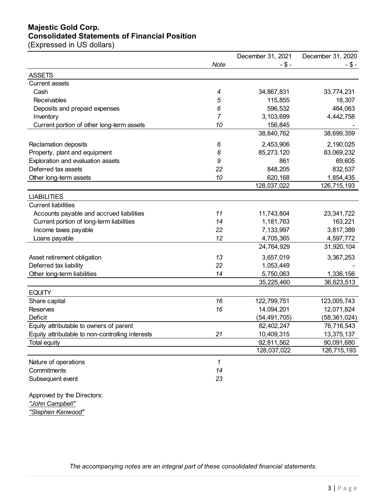## **Majestic Gold Corp. Consolidated Statements of Financial Position**

(Expressed in US dollars)

|                                                  |                     | December 31, 2021 | December 31, 2020 |
|--------------------------------------------------|---------------------|-------------------|-------------------|
|                                                  | Note                | $-$ \$ -          | -\$-              |
| <b>ASSETS</b>                                    |                     |                   |                   |
| <b>Current assets</b>                            |                     |                   |                   |
| Cash                                             | 4                   | 34,867,831        | 33,774,231        |
| Receivables                                      | 5                   | 115,855           | 18,307            |
| Deposits and prepaid expenses                    | 6                   | 596,532           | 464,063           |
| Inventory                                        | 7                   | 3,103,699         | 4,442,758         |
| Current portion of other long-term assets        | 10                  | 156,845           |                   |
|                                                  |                     | 38,840,762        | 38,699,359        |
| Reclamation deposits                             | 6                   | 2,453,906         | 2,190,025         |
| Property, plant and equipment                    | 8                   | 85,273,120        | 83,069,232        |
| Exploration and evaluation assets                | 9                   | 861               | 69,605            |
| Deferred tax assets                              | 22                  | 848,205           | 832,537           |
| Other long-term assets                           | 10                  | 620,168           | 1,854,435         |
|                                                  |                     | 128,037,022       | 126,715,193       |
| <b>LIABILITIES</b>                               |                     |                   |                   |
| <b>Current liabilities</b>                       |                     |                   |                   |
| Accounts payable and accrued liabilities         | 11                  | 11,743,804        | 23,341,722        |
| Current portion of long-term liabilities         | 14                  | 1,181,763         | 163,221           |
| Income taxes payable                             | 22                  | 7,133,997         | 3,817,389         |
| Loans payable                                    | 12                  | 4,705,365         | 4,597,772         |
|                                                  |                     | 24,764,929        | 31,920,104        |
| Asset retirement obligation                      | 13                  | 3,657,019         | 3,367,253         |
| Deferred tax liability                           | 22                  | 1,053,449         |                   |
| Other long-term liabilities                      | 14                  | 5,750,063         | 1,336,156         |
|                                                  |                     | 35,225,460        | 36,623,513        |
| <b>EQUITY</b>                                    |                     |                   |                   |
| Share capital                                    | 16                  | 122,799,751       | 123,005,743       |
| <b>Reserves</b>                                  | 16                  | 14,094,201        | 12,071,824        |
| Deficit                                          |                     | (54,491,705)      | (58, 361, 024)    |
| Equity attributable to owners of parent          |                     | 82,402,247        | 76,716,543        |
| Equity attributable to non-controlling interests | 21                  | 10,409,315        | 13,375,137        |
| Total equity                                     |                     | 92,811,562        | 90,091,680        |
|                                                  |                     | 128,037,022       | 126,715,193       |
| Nature of operations                             | $\pmb{\mathcal{1}}$ |                   |                   |
| Commitments                                      | 14                  |                   |                   |
| Subsequent event                                 | 23                  |                   |                   |
|                                                  |                     |                   |                   |
| Approved by the Directors:                       |                     |                   |                   |
| "John Campbell"                                  |                     |                   |                   |

*"Stephen Kenwood"*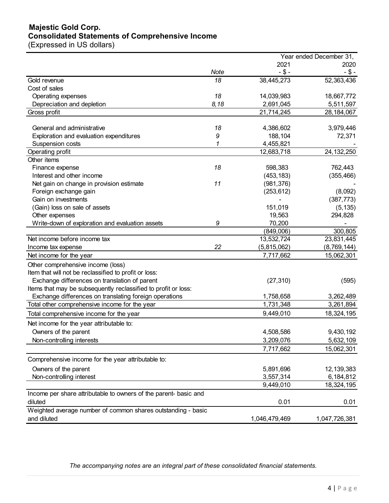## **Majestic Gold Corp. Consolidated Statements of Comprehensive Income**

(Expressed in US dollars)

|                                                                  |             |                         | Year ended December 31, |
|------------------------------------------------------------------|-------------|-------------------------|-------------------------|
|                                                                  |             | 2021                    | 2020                    |
|                                                                  | <b>Note</b> | $- $ -$                 | $-$ \$ -                |
| Gold revenue                                                     | 18          | 38,445,273              | 52,363,436              |
| Cost of sales                                                    |             |                         |                         |
| Operating expenses                                               | 18          | 14,039,983              | 18,667,772              |
| Depreciation and depletion                                       | 8,18        | 2,691,045               | 5,511,597               |
| Gross profit                                                     |             | 21,714,245              | 28,184,067              |
|                                                                  |             |                         |                         |
| General and administrative                                       | 18          | 4,386,602               | 3,979,446               |
| Exploration and evaluation expenditures                          | 9           | 188,104                 | 72,371                  |
| Suspension costs                                                 | 1           | 4,455,821<br>12,683,718 | 24, 132, 250            |
| Operating profit<br>Other items                                  |             |                         |                         |
|                                                                  | 18          | 598,383                 | 762,443                 |
| Finance expense<br>Interest and other income                     |             | (453, 183)              | (355, 466)              |
| Net gain on change in provision estimate                         | 11          | (981, 376)              |                         |
| Foreign exchange gain                                            |             | (253, 612)              | (8,092)                 |
| Gain on investments                                              |             |                         | (387, 773)              |
| (Gain) loss on sale of assets                                    |             | 151,019                 | (5, 135)                |
| Other expenses                                                   |             | 19,563                  | 294,828                 |
| Write-down of exploration and evaluation assets                  | 9           | 70,200                  |                         |
|                                                                  |             | (849,006)               | 300,805                 |
| Net income before income tax                                     |             | 13,532,724              | 23,831,445              |
| Income tax expense                                               | 22          | (5,815,062)             | (8, 769, 144)           |
| Net income for the year                                          |             | 7,717,662               | 15,062,301              |
|                                                                  |             |                         |                         |
| Other comprehensive income (loss)                                |             |                         |                         |
| Item that will not be reclassified to profit or loss:            |             |                         |                         |
| Exchange differences on translation of parent                    |             | (27, 310)               | (595)                   |
| Items that may be subsequently reclassified to profit or loss:   |             |                         |                         |
| Exchange differences on translating foreign operations           |             | 1,758,658               | 3,262,489               |
| Total other comprehensive income for the year                    |             | 1,731,348               | 3,261,894               |
| Total comprehensive income for the year                          |             | 9,449,010               | 18,324,195              |
| Net income for the year attributable to:                         |             |                         |                         |
| Owners of the parent                                             |             | 4,508,586               | 9,430,192               |
| Non-controlling interests                                        |             | 3,209,076               | 5,632,109               |
|                                                                  |             | 7,717,662               | 15,062,301              |
| Comprehensive income for the year attributable to:               |             |                         |                         |
| Owners of the parent                                             |             | 5,891,696               | 12,139,383              |
| Non-controlling interest                                         |             | 3,557,314               | 6,184,812               |
|                                                                  |             | 9,449,010               | 18,324,195              |
| Income per share attributable to owners of the parent- basic and |             |                         |                         |
| diluted                                                          |             | 0.01                    | 0.01                    |
| Weighted average number of common shares outstanding - basic     |             |                         |                         |
| and diluted                                                      |             | 1,046,479,469           | 1,047,726,381           |
|                                                                  |             |                         |                         |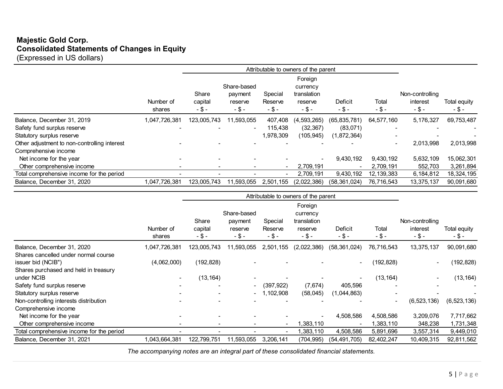## **Majestic Gold Corp. Consolidated Statements of Changes in Equity** (Expressed in US dollars)

|                                              | Number of<br>shares | Share<br>capital<br>$-5-$ | Share-based<br>payment<br>reserve<br>$-$ \$ - | Special<br>Reserve<br>$-$ \$ - | Foreign<br>currency<br>translation<br>reserve<br>$- $ -$ | Deficit<br>$-$ \$ – | Total<br>-\$- | Non-controlling<br>interest<br>$-$ \$ – | Total equity<br>$-$ \$ - |
|----------------------------------------------|---------------------|---------------------------|-----------------------------------------------|--------------------------------|----------------------------------------------------------|---------------------|---------------|-----------------------------------------|--------------------------|
| Balance, December 31, 2019                   | 1,047,726,381       | 123,005,743               | 11,593,055                                    | 407,408                        | (4,593,265)                                              | (65, 835, 781)      | 64,577,160    | 5,176,327                               | 69,753,487               |
| Safety fund surplus reserve                  |                     |                           | $\sim$                                        | 115.438                        | (32, 367)                                                | (83,071)            |               |                                         |                          |
| Statutory surplus reserve                    |                     |                           |                                               | 1,978,309                      | (105, 945)                                               | (1,872,364)         |               | -                                       |                          |
| Other adjustment to non-controlling interest |                     |                           |                                               |                                |                                                          |                     |               | 2,013,998                               | 2,013,998                |
| Comprehensive income                         |                     |                           |                                               |                                |                                                          |                     |               |                                         |                          |
| Net income for the year                      |                     |                           |                                               |                                |                                                          | 9,430,192           | 9,430,192     | 5,632,109                               | 15,062,301               |
| Other comprehensive income                   |                     |                           |                                               |                                | 2,709,191                                                |                     | 2,709,191     | 552,703                                 | 3,261,894                |
| Total comprehensive income for the period    |                     |                           |                                               |                                | 2,709,191                                                | 9,430,192           | 12, 139, 383  | 6,184,812                               | 18,324,195               |
| Balance, December 31, 2020                   | 1,047,726,381       | 123,005,743               | 11,593,055                                    | 2,501,155                      | (2,022,386)                                              | (58, 361, 024)      | 76,716,543    | 13,375,137                              | 90,091,680               |

|                                                                                                     | Number of<br>shares | Share<br>capital<br>$-5-$ | Share-based<br>payment<br>reserve<br>$-5-$ | Special<br>Reserve<br>$-5-$ | Foreign<br>currency<br>translation<br>reserve<br>$-5-$ | Deficit<br>-\$- | Total<br>-\$-            | Non-controlling<br>interest<br>$-5-$ | Total equity<br>$-$ \$ - |
|-----------------------------------------------------------------------------------------------------|---------------------|---------------------------|--------------------------------------------|-----------------------------|--------------------------------------------------------|-----------------|--------------------------|--------------------------------------|--------------------------|
| Balance, December 31, 2020                                                                          | 1,047,726,381       | 123,005,743               | 11,593,055                                 | 2,501,155                   | (2,022,386)                                            | (58, 361, 024)  | 76,716,543               | 13,375,137                           | 90,091,680               |
| Shares cancelled under normal course<br>issuer bid (NCIB")<br>Shares purchased and held in treasury | (4,062,000)         | (192, 828)                |                                            |                             |                                                        |                 | (192, 828)               | $\blacksquare$                       | (192, 828)               |
| under NCIB                                                                                          |                     | (13, 164)                 |                                            |                             |                                                        |                 | (13, 164)                |                                      | (13, 164)                |
| Safety fund surplus reserve                                                                         |                     |                           | $\sim$                                     | (397,922)                   | (7,674)                                                | 405,596         |                          |                                      |                          |
| Statutory surplus reserve                                                                           |                     |                           | - 1                                        | 1,102,908                   | (58,045)                                               | (1,044,863)     |                          |                                      |                          |
| Non-controlling interests distribution                                                              |                     |                           |                                            |                             |                                                        |                 | $\overline{\phantom{a}}$ | (6, 523, 136)                        | (6, 523, 136)            |
| Comprehensive income                                                                                |                     |                           |                                            |                             |                                                        |                 |                          |                                      |                          |
| Net income for the year                                                                             |                     |                           |                                            |                             |                                                        | 4,508,586       | 4,508,586                | 3,209,076                            | 7,717,662                |
| Other comprehensive income                                                                          |                     |                           |                                            |                             | ,383,110                                               |                 | 1,383,110                | 348,238                              | 1,731,348                |
| Total comprehensive income for the period                                                           |                     |                           |                                            |                             | 1,383,110                                              | 4,508,586       | 5,891,696                | 3,557,314                            | 9,449,010                |
| Balance, December 31, 2021                                                                          | 1,043,664,381       | 122,799,751               | 11,593,055                                 | 3,206,141                   | (704,995)                                              | (54, 491, 705)  | 82,402,247               | 10,409,315                           | 92,811,562               |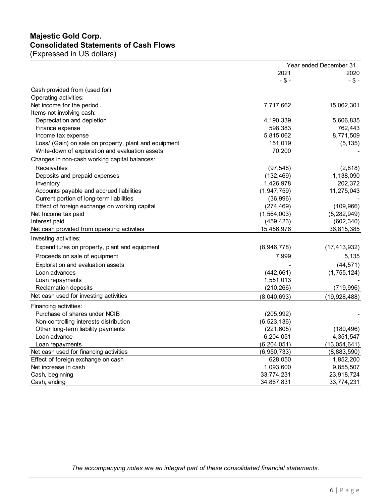# **Majestic Gold Corp. Consolidated Statements of Cash Flows**

(Expressed in US dollars)

|                                                       |               | Year ended December 31, |
|-------------------------------------------------------|---------------|-------------------------|
|                                                       | 2021          | 2020                    |
|                                                       | $- $ -$       | $- $ -$                 |
| Cash provided from (used for):                        |               |                         |
| Operating activities:                                 |               |                         |
| Net income for the period                             | 7,717,662     | 15,062,301              |
| Items not involving cash:                             |               |                         |
| Depreciation and depletion                            | 4,190,339     | 5,606,835               |
| Finance expense                                       | 598,383       | 762,443                 |
| Income tax expense                                    | 5,815,062     | 8,771,509               |
| Loss/ (Gain) on sale on property, plant and equipment | 151,019       | (5, 135)                |
| Write-down of exploration and evaluation assets       | 70,200        |                         |
| Changes in non-cash working capital balances:         |               |                         |
| Receivables                                           | (97, 548)     | (2,818)                 |
| Deposits and prepaid expenses                         | (132, 469)    | 1,138,090               |
| Inventory                                             | 1,426,978     | 202,372                 |
| Accounts payable and accrued liabilities              | (1,947,759)   | 11,275,043              |
| Current portion of long-term liabilities              | (36,996)      |                         |
| Effect of foreign exchange on working capital         | (274, 469)    | (109, 966)              |
| Net Income tax paid                                   | (1,564,003)   | (5,282,949)             |
| Interest paid                                         | (459, 423)    | (602, 340)              |
| Net cash provided from operating activities           | 15,456,976    | 36,815,385              |
| Investing activities:                                 |               |                         |
| Expenditures on property, plant and equipment         | (8,946,778)   | (17, 413, 932)          |
| Proceeds on sale of equipment                         | 7,999         | 5,135                   |
| Exploration and evaluation assets                     |               | (44, 571)               |
| Loan advances                                         | (442, 661)    | (1,755,124)             |
| Loan repayments                                       | 1,551,013     |                         |
| Reclamation deposits                                  | (210, 266)    | (719, 996)              |
| Net cash used for investing activities                | (8,040,693)   | (19, 928, 488)          |
| Financing activities:                                 |               |                         |
| Purchase of shares under NCIB                         | (205, 992)    |                         |
| Non-controlling interests distribution                | (6, 523, 136) |                         |
| Other long-term liability payments                    | (221, 605)    | (180, 496)              |
| Loan advance                                          | 6,204,051     | 4,351,547               |
| Loan repayments                                       | (6, 204, 051) | (13,054,641)            |
| Net cash used for financing activities                | (6,950,733)   | (8,883,590)             |
| Effect of foreign exchange on cash                    | 628,050       | 1,852,200               |
| Net increase in cash                                  | 1,093,600     | 9,855,507               |
| Cash, beginning                                       | 33,774,231    | 23,918,724              |
| Cash, ending                                          | 34,867,831    | 33,774,231              |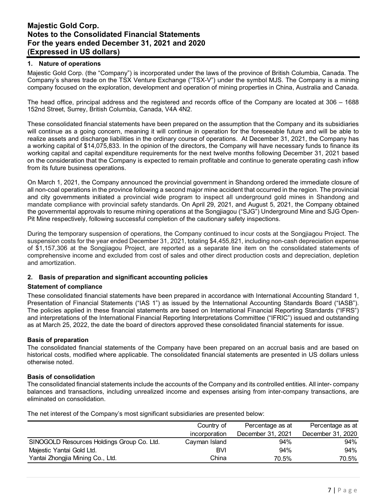#### **1. Nature of operations**

Majestic Gold Corp. (the "Company") is incorporated under the laws of the province of British Columbia, Canada. The Company's shares trade on the TSX Venture Exchange ("TSX-V") under the symbol MJS. The Company is a mining company focused on the exploration, development and operation of mining properties in China, Australia and Canada.

The head office, principal address and the registered and records office of the Company are located at 306 – 1688 152nd Street, Surrey, British Columbia, Canada, V4A 4N2.

These consolidated financial statements have been prepared on the assumption that the Company and its subsidiaries will continue as a going concern, meaning it will continue in operation for the foreseeable future and will be able to realize assets and discharge liabilities in the ordinary course of operations. At December 31, 2021, the Company has a working capital of \$14,075,833. In the opinion of the directors, the Company will have necessary funds to finance its working capital and capital expenditure requirements for the next twelve months following December 31, 2021 based on the consideration that the Company is expected to remain profitable and continue to generate operating cash inflow from its future business operations.

On March 1, 2021, the Company announced the provincial government in Shandong ordered the immediate closure of all non-coal operations in the province following a second major mine accident that occurred in the region. The provincial and city governments initiated a provincial wide program to inspect all underground gold mines in Shandong and mandate compliance with provincial safety standards. On April 29, 2021, and August 5, 2021, the Company obtained the governmental approvals to resume mining operations at the Songjiagou ("SJG") Underground Mine and SJG Open-Pit Mine respectively, following successful completion of the cautionary safety inspections.

During the temporary suspension of operations, the Company continued to incur costs at the Songjiagou Project. The suspension costs for the year ended December 31, 2021, totaling \$4,455,821, including non-cash depreciation expense of \$1,157,306 at the Songjiagou Project, are reported as a separate line item on the consolidated statements of comprehensive income and excluded from cost of sales and other direct production costs and depreciation, depletion and amortization.

#### **2. Basis of preparation and significant accounting policies**

#### **Statement of compliance**

These consolidated financial statements have been prepared in accordance with International Accounting Standard 1, Presentation of Financial Statements ("IAS 1") as issued by the International Accounting Standards Board ("IASB"). The policies applied in these financial statements are based on International Financial Reporting Standards ("IFRS") and interpretations of the International Financial Reporting Interpretations Committee ("IFRIC") issued and outstanding as at March 25, 2022, the date the board of directors approved these consolidated financial statements for issue.

#### **Basis of preparation**

The consolidated financial statements of the Company have been prepared on an accrual basis and are based on historical costs, modified where applicable. The consolidated financial statements are presented in US dollars unless otherwise noted.

#### **Basis of consolidation**

The consolidated financial statements include the accounts of the Company and its controlled entities. All inter- company balances and transactions, including unrealized income and expenses arising from inter-company transactions, are eliminated on consolidation.

The net interest of the Company's most significant subsidiaries are presented below:

|                                            | Country of    | Percentage as at  | Percentage as at  |
|--------------------------------------------|---------------|-------------------|-------------------|
|                                            | incorporation | December 31, 2021 | December 31, 2020 |
| SINOGOLD Resources Holdings Group Co. Ltd. | Cayman Island | 94%               | 94%               |
| Majestic Yantai Gold Ltd.                  | BVI           | 94%               | 94%               |
| Yantai Zhongjia Mining Co., Ltd.           | China         | 70.5%             | 70.5%             |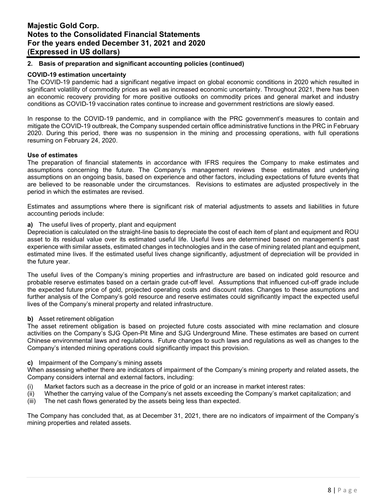#### **2. Basis of preparation and significant accounting policies (continued)**

#### **COVID-19 estimation uncertainty**

The COVID-19 pandemic had a significant negative impact on global economic conditions in 2020 which resulted in significant volatility of commodity prices as well as increased economic uncertainty. Throughout 2021, there has been an economic recovery providing for more positive outlooks on commodity prices and general market and industry conditions as COVID-19 vaccination rates continue to increase and government restrictions are slowly eased.

In response to the COVID-19 pandemic, and in compliance with the PRC government's measures to contain and mitigate the COVID-19 outbreak, the Company suspended certain office administrative functions in the PRC in February 2020. During this period, there was no suspension in the mining and processing operations, with full operations resuming on February 24, 2020.

#### **Use of estimates**

The preparation of financial statements in accordance with IFRS requires the Company to make estimates and assumptions concerning the future. The Company's management reviews these estimates and underlying assumptions on an ongoing basis, based on experience and other factors, including expectations of future events that are believed to be reasonable under the circumstances. Revisions to estimates are adjusted prospectively in the period in which the estimates are revised.

Estimates and assumptions where there is significant risk of material adjustments to assets and liabilities in future accounting periods include:

#### **a)** The useful lives of property, plant and equipment

Depreciation is calculated on the straight-line basis to depreciate the cost of each item of plant and equipment and ROU asset to its residual value over its estimated useful life. Useful lives are determined based on management's past experience with similar assets, estimated changes in technologies and in the case of mining related plant and equipment, estimated mine lives. If the estimated useful lives change significantly, adjustment of depreciation will be provided in the future year.

The useful lives of the Company's mining properties and infrastructure are based on indicated gold resource and probable reserve estimates based on a certain grade cut-off level. Assumptions that influenced cut-off grade include the expected future price of gold, projected operating costs and discount rates. Changes to these assumptions and further analysis of the Company's gold resource and reserve estimates could significantly impact the expected useful lives of the Company's mineral property and related infrastructure.

#### **b)** Asset retirement obligation

The asset retirement obligation is based on projected future costs associated with mine reclamation and closure activities on the Company's SJG Open-Pit Mine and SJG Underground Mine. These estimates are based on current Chinese environmental laws and regulations. Future changes to such laws and regulations as well as changes to the Company's intended mining operations could significantly impact this provision.

#### **c)** Impairment of the Company's mining assets

When assessing whether there are indicators of impairment of the Company's mining property and related assets, the Company considers internal and external factors, including:

- (i) Market factors such as a decrease in the price of gold or an increase in market interest rates:
- (ii) Whether the carrying value of the Company's net assets exceeding the Company's market capitalization; and
- (iii) The net cash flows generated by the assets being less than expected.

The Company has concluded that, as at December 31, 2021, there are no indicators of impairment of the Company's mining properties and related assets.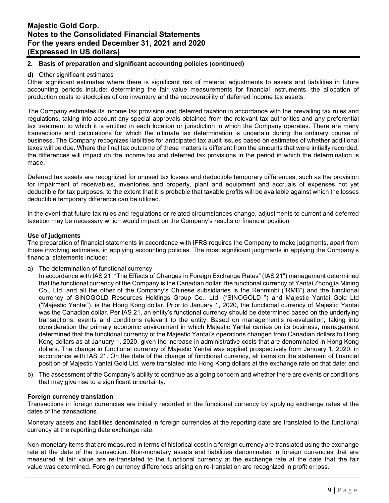#### **2. Basis of preparation and significant accounting policies (continued)**

#### **d)** Other significant estimates

Other significant estimates where there is significant risk of material adjustments to assets and liabilities in future accounting periods include: determining the fair value measurements for financial instruments, the allocation of production costs to stockpiles of ore inventory and the recoverability of deferred income tax assets.

The Company estimates its income tax provision and deferred taxation in accordance with the prevailing tax rules and regulations, taking into account any special approvals obtained from the relevant tax authorities and any preferential tax treatment to which it is entitled in each location or jurisdiction in which the Company operates. There are many transactions and calculations for which the ultimate tax determination is uncertain during the ordinary course of business. The Company recognizes liabilities for anticipated tax audit issues based on estimates of whether additional taxes will be due. Where the final tax outcome of these matters is different from the amounts that were initially recorded, the differences will impact on the income tax and deferred tax provisions in the period in which the determination is made.

Deferred tax assets are recognized for unused tax losses and deductible temporary differences, such as the provision for impairment of receivables, inventories and property, plant and equipment and accruals of expenses not yet deductible for tax purposes, to the extent that it is probable that taxable profits will be available against which the losses deductible temporary difference can be utilized.

In the event that future tax rules and regulations or related circumstances change, adjustments to current and deferred taxation may be necessary which would impact on the Company's results or financial position

#### **Use of judgments**

The preparation of financial statements in accordance with IFRS requires the Company to make judgments, apart from those involving estimates, in applying accounting policies. The most significant judgments in applying the Company's financial statements include:

a) The determination of functional currency

In accordance with IAS 21, "The Effects of Changes in Foreign Exchange Rates" (IAS 21") management determined that the functional currency of the Company is the Canadian dollar, the functional currency of Yantai Zhongjia Mining Co., Ltd. and all the other of the Company's Chinese subsidiaries is the Renminbi ("RMB") and the functional currency of SINOGOLD Resources Holdings Group Co., Ltd. ("SINOGOLD ") and Majestic Yantai Gold Ltd ("Majestic Yantai"). is the Hong Kong dollar. Prior to January 1, 2020, the functional currency of Majestic Yantai was the Canadian dollar. Per IAS 21, an entity's functional currency should be determined based on the underlying transactions, events and conditions relevant to the entity. Based on management's re-evaluation, taking into consideration the primary economic environment in which Majestic Yantai carries on its business, management determined that the functional currency of the Majestic Yantai's operations changed from Canadian dollars to Hong Kong dollars as at January 1, 2020, given the increase in administrative costs that are denominated in Hong Kong dollars. The change in functional currency of Majestic Yantai was applied prospectively from January 1, 2020, in accordance with IAS 21. On the date of the change of functional currency, all items on the statement of financial position of Majestic Yantai Gold Ltd. were translated into Hong Kong dollars at the exchange rate on that date; and

b) The assessment of the Company's ability to continue as a going concern and whether there are events or conditions that may give rise to a significant uncertainty.

#### **Foreign currency translation**

Transactions in foreign currencies are initially recorded in the functional currency by applying exchange rates at the dates of the transactions.

Monetary assets and liabilities denominated in foreign currencies at the reporting date are translated to the functional currency at the reporting date exchange rate.

Non-monetary items that are measured in terms of historical cost in a foreign currency are translated using the exchange rate at the date of the transaction. Non-monetary assets and liabilities denominated in foreign currencies that are measured at fair value are re-translated to the functional currency at the exchange rate at the date that the fair value was determined. Foreign currency differences arising on re-translation are recognized in profit or loss.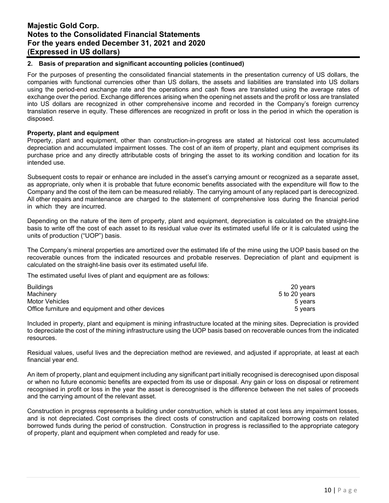#### **2. Basis of preparation and significant accounting policies (continued)**

For the purposes of presenting the consolidated financial statements in the presentation currency of US dollars, the companies with functional currencies other than US dollars, the assets and liabilities are translated into US dollars using the period-end exchange rate and the operations and cash flows are translated using the average rates of exchange over the period. Exchange differences arising when the opening net assets and the profit or loss are translated into US dollars are recognized in other comprehensive income and recorded in the Company's foreign currency translation reserve in equity. These differences are recognized in profit or loss in the period in which the operation is disposed.

#### **Property, plant and equipment**

Property, plant and equipment, other than construction-in-progress are stated at historical cost less accumulated depreciation and accumulated impairment losses. The cost of an item of property, plant and equipment comprises its purchase price and any directly attributable costs of bringing the asset to its working condition and location for its intended use.

Subsequent costs to repair or enhance are included in the asset's carrying amount or recognized as a separate asset, as appropriate, only when it is probable that future economic benefits associated with the expenditure will flow to the Company and the cost of the item can be measured reliably. The carrying amount of any replaced part is derecognized. All other repairs and maintenance are charged to the statement of comprehensive loss during the financial period in which they are incurred.

Depending on the nature of the item of property, plant and equipment, depreciation is calculated on the straight-line basis to write off the cost of each asset to its residual value over its estimated useful life or it is calculated using the units of production ("UOP") basis.

The Company's mineral properties are amortized over the estimated life of the mine using the UOP basis based on the recoverable ounces from the indicated resources and probable reserves. Depreciation of plant and equipment is calculated on the straight-line basis over its estimated useful life.

The estimated useful lives of plant and equipment are as follows:

| Buildings                                        | 20 years      |
|--------------------------------------------------|---------------|
| Machinery                                        | 5 to 20 vears |
| Motor Vehicles                                   | 5 vears       |
| Office furniture and equipment and other devices | 5 vears       |

Included in property, plant and equipment is mining infrastructure located at the mining sites. Depreciation is provided to depreciate the cost of the mining infrastructure using the UOP basis based on recoverable ounces from the indicated resources.

Residual values, useful lives and the depreciation method are reviewed, and adjusted if appropriate, at least at each financial year end.

An item of property, plant and equipment including any significant part initially recognised is derecognised upon disposal or when no future economic benefits are expected from its use or disposal. Any gain or loss on disposal or retirement recognised in profit or loss in the year the asset is derecognised is the difference between the net sales of proceeds and the carrying amount of the relevant asset.

Construction in progress represents a building under construction, which is stated at cost less any impairment losses, and is not depreciated. Cost comprises the direct costs of construction and capitalized borrowing costs on related borrowed funds during the period of construction. Construction in progress is reclassified to the appropriate category of property, plant and equipment when completed and ready for use.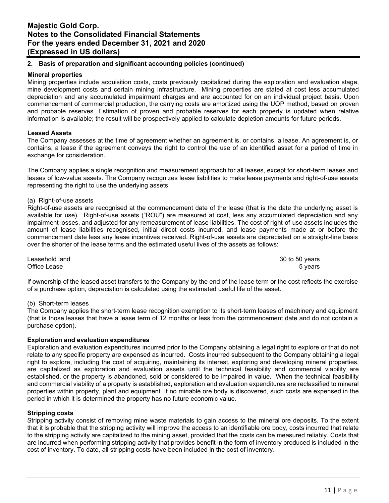#### **2. Basis of preparation and significant accounting policies (continued)**

#### **Mineral properties**

Mining properties include acquisition costs, costs previously capitalized during the exploration and evaluation stage, mine development costs and certain mining infrastructure. Mining properties are stated at cost less accumulated depreciation and any accumulated impairment charges and are accounted for on an individual project basis. Upon commencement of commercial production, the carrying costs are amortized using the UOP method, based on proven and probable reserves. Estimation of proven and probable reserves for each property is updated when relative information is available; the result will be prospectively applied to calculate depletion amounts for future periods.

#### **Leased Assets**

The Company assesses at the time of agreement whether an agreement is, or contains, a lease. An agreement is, or contains, a lease if the agreement conveys the right to control the use of an identified asset for a period of time in exchange for consideration.

The Company applies a single recognition and measurement approach for all leases, except for short-term leases and leases of low-value assets. The Company recognizes lease liabilities to make lease payments and right-of-use assets representing the right to use the underlying assets.

#### (a) Right-of-use assets

Right-of-use assets are recognised at the commencement date of the lease (that is the date the underlying asset is available for use). Right-of-use assets ("ROU") are measured at cost, less any accumulated depreciation and any impairment losses, and adjusted for any remeasurement of lease liabilities. The cost of right-of-use assets includes the amount of lease liabilities recognised, initial direct costs incurred, and lease payments made at or before the commencement date less any lease incentives received. Right-of-use assets are depreciated on a straight-line basis over the shorter of the lease terms and the estimated useful lives of the assets as follows:

Leasehold land 30 to 50 years Office Lease 5 years

If ownership of the leased asset transfers to the Company by the end of the lease term or the cost reflects the exercise of a purchase option, depreciation is calculated using the estimated useful life of the asset.

#### (b) Short-term leases

The Company applies the short-term lease recognition exemption to its short-term leases of machinery and equipment (that is those leases that have a lease term of 12 months or less from the commencement date and do not contain a purchase option).

#### **Exploration and evaluation expenditures**

Exploration and evaluation expenditures incurred prior to the Company obtaining a legal right to explore or that do not relate to any specific property are expensed as incurred. Costs incurred subsequent to the Company obtaining a legal right to explore, including the cost of acquiring, maintaining its interest, exploring and developing mineral properties, are capitalized as exploration and evaluation assets until the technical feasibility and commercial viability are established, or the property is abandoned, sold or considered to be impaired in value. When the technical feasibility and commercial viability of a property is established, exploration and evaluation expenditures are reclassified to mineral properties within property, plant and equipment. If no minable ore body is discovered, such costs are expensed in the period in which it is determined the property has no future economic value.

#### **Stripping costs**

Stripping activity consist of removing mine waste materials to gain access to the mineral ore deposits. To the extent that it is probable that the stripping activity will improve the access to an identifiable ore body, costs incurred that relate to the stripping activity are capitalized to the mining asset, provided that the costs can be measured reliably. Costs that are incurred when performing stripping activity that provides benefit in the form of inventory produced is included in the cost of inventory. To date, all stripping costs have been included in the cost of inventory.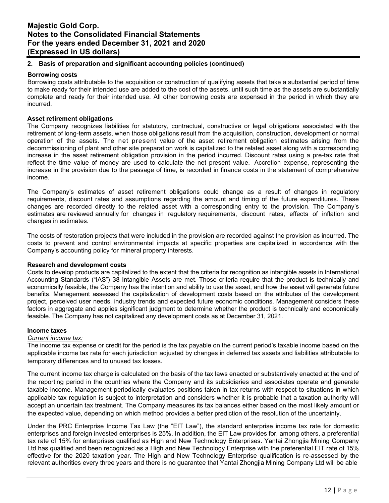#### **2. Basis of preparation and significant accounting policies (continued)**

#### **Borrowing costs**

Borrowing costs attributable to the acquisition or construction of qualifying assets that take a substantial period of time to make ready for their intended use are added to the cost of the assets, until such time as the assets are substantially complete and ready for their intended use. All other borrowing costs are expensed in the period in which they are incurred.

#### **Asset retirement obligations**

The Company recognizes liabilities for statutory, contractual, constructive or legal obligations associated with the retirement of long-term assets, when those obligations result from the acquisition, construction, development or normal operation of the assets. The net present value of the asset retirement obligation estimates arising from the decommissioning of plant and other site preparation work is capitalized to the related asset along with a corresponding increase in the asset retirement obligation provision in the period incurred. Discount rates using a pre-tax rate that reflect the time value of money are used to calculate the net present value. Accretion expense, representing the increase in the provision due to the passage of time, is recorded in finance costs in the statement of comprehensive income.

The Company's estimates of asset retirement obligations could change as a result of changes in regulatory requirements, discount rates and assumptions regarding the amount and timing of the future expenditures. These changes are recorded directly to the related asset with a corresponding entry to the provision. The Company's estimates are reviewed annually for changes in regulatory requirements, discount rates, effects of inflation and changes in estimates.

The costs of restoration projects that were included in the provision are recorded against the provision as incurred. The costs to prevent and control environmental impacts at specific properties are capitalized in accordance with the Company's accounting policy for mineral property interests.

#### **Research and development costs**

Costs to develop products are capitalized to the extent that the criteria for recognition as intangible assets in International Accounting Standards ("IAS") 38 Intangible Assets are met. Those criteria require that the product is technically and economically feasible, the Company has the intention and ability to use the asset, and how the asset will generate future benefits. Management assessed the capitalization of development costs based on the attributes of the development project, perceived user needs, industry trends and expected future economic conditions. Management considers these factors in aggregate and applies significant judgment to determine whether the product is technically and economically feasible. The Company has not capitalized any development costs as at December 31, 2021.

#### **Income taxes**

#### *Current income tax:*

The income tax expense or credit for the period is the tax payable on the current period's taxable income based on the applicable income tax rate for each jurisdiction adjusted by changes in deferred tax assets and liabilities attributable to temporary differences and to unused tax losses.

The current income tax charge is calculated on the basis of the tax laws enacted or substantively enacted at the end of the reporting period in the countries where the Company and its subsidiaries and associates operate and generate taxable income. Management periodically evaluates positions taken in tax returns with respect to situations in which applicable tax regulation is subject to interpretation and considers whether it is probable that a taxation authority will accept an uncertain tax treatment. The Company measures its tax balances either based on the most likely amount or the expected value, depending on which method provides a better prediction of the resolution of the uncertainty.

Under the PRC Enterprise Income Tax Law (the "EIT Law"), the standard enterprise income tax rate for domestic enterprises and foreign invested enterprises is 25%. In addition, the EIT Law provides for, among others, a preferential tax rate of 15% for enterprises qualified as High and New Technology Enterprises. Yantai Zhongjia Mining Company Ltd has qualified and been recognized as a High and New Technology Enterprise with the preferential EIT rate of 15% effective for the 2020 taxation year. The High and New Technology Enterprise qualification is re-assessed by the relevant authorities every three years and there is no guarantee that Yantai Zhongjia Mining Company Ltd will be able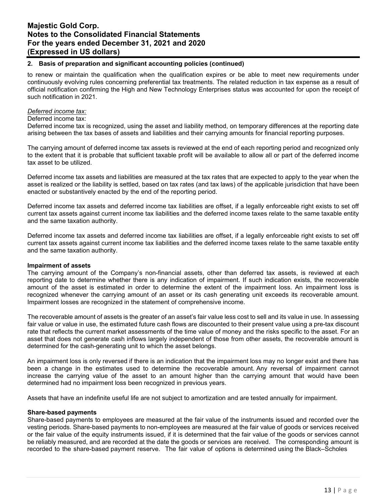#### **2. Basis of preparation and significant accounting policies (continued)**

to renew or maintain the qualification when the qualification expires or be able to meet new requirements under continuously evolving rules concerning preferential tax treatments. The related reduction in tax expense as a result of official notification confirming the High and New Technology Enterprises status was accounted for upon the receipt of such notification in 2021.

#### *Deferred income tax:*

#### Deferred income tax:

Deferred income tax is recognized, using the asset and liability method, on temporary differences at the reporting date arising between the tax bases of assets and liabilities and their carrying amounts for financial reporting purposes.

The carrying amount of deferred income tax assets is reviewed at the end of each reporting period and recognized only to the extent that it is probable that sufficient taxable profit will be available to allow all or part of the deferred income tax asset to be utilized.

Deferred income tax assets and liabilities are measured at the tax rates that are expected to apply to the year when the asset is realized or the liability is settled, based on tax rates (and tax laws) of the applicable jurisdiction that have been enacted or substantively enacted by the end of the reporting period.

Deferred income tax assets and deferred income tax liabilities are offset, if a legally enforceable right exists to set off current tax assets against current income tax liabilities and the deferred income taxes relate to the same taxable entity and the same taxation authority.

Deferred income tax assets and deferred income tax liabilities are offset, if a legally enforceable right exists to set off current tax assets against current income tax liabilities and the deferred income taxes relate to the same taxable entity and the same taxation authority.

#### **Impairment of assets**

The carrying amount of the Company's non-financial assets, other than deferred tax assets, is reviewed at each reporting date to determine whether there is any indication of impairment. If such indication exists, the recoverable amount of the asset is estimated in order to determine the extent of the impairment loss. An impairment loss is recognized whenever the carrying amount of an asset or its cash generating unit exceeds its recoverable amount. Impairment losses are recognized in the statement of comprehensive income.

The recoverable amount of assets is the greater of an asset's fair value less cost to sell and its value in use. In assessing fair value or value in use, the estimated future cash flows are discounted to their present value using a pre-tax discount rate that reflects the current market assessments of the time value of money and the risks specific to the asset. For an asset that does not generate cash inflows largely independent of those from other assets, the recoverable amount is determined for the cash-generating unit to which the asset belongs.

An impairment loss is only reversed if there is an indication that the impairment loss may no longer exist and there has been a change in the estimates used to determine the recoverable amount. Any reversal of impairment cannot increase the carrying value of the asset to an amount higher than the carrying amount that would have been determined had no impairment loss been recognized in previous years.

Assets that have an indefinite useful life are not subject to amortization and are tested annually for impairment.

#### **Share-based payments**

Share-based payments to employees are measured at the fair value of the instruments issued and recorded over the vesting periods. Share-based payments to non-employees are measured at the fair value of goods or services received or the fair value of the equity instruments issued, if it is determined that the fair value of the goods or services cannot be reliably measured, and are recorded at the date the goods or services are received. The corresponding amount is recorded to the share-based payment reserve. The fair value of options is determined using the Black–Scholes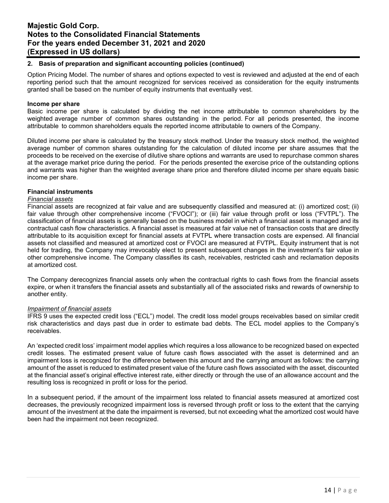#### **2. Basis of preparation and significant accounting policies (continued)**

Option Pricing Model. The number of shares and options expected to vest is reviewed and adjusted at the end of each reporting period such that the amount recognized for services received as consideration for the equity instruments granted shall be based on the number of equity instruments that eventually vest.

#### **Income per share**

Basic income per share is calculated by dividing the net income attributable to common shareholders by the weighted average number of common shares outstanding in the period. For all periods presented, the income attributable to common shareholders equals the reported income attributable to owners of the Company.

Diluted income per share is calculated by the treasury stock method. Under the treasury stock method, the weighted average number of common shares outstanding for the calculation of diluted income per share assumes that the proceeds to be received on the exercise of dilutive share options and warrants are used to repurchase common shares at the average market price during the period. For the periods presented the exercise price of the outstanding options and warrants was higher than the weighted average share price and therefore diluted income per share equals basic income per share.

#### **Financial instruments**

#### *Financial assets*

Financial assets are recognized at fair value and are subsequently classified and measured at: (i) amortized cost; (ii) fair value through other comprehensive income ("FVOCI"); or (iii) fair value through profit or loss ("FVTPL"). The classification of financial assets is generally based on the business model in which a financial asset is managed and its contractual cash flow characteristics. A financial asset is measured at fair value net of transaction costs that are directly attributable to its acquisition except for financial assets at FVTPL where transaction costs are expensed. All financial assets not classified and measured at amortized cost or FVOCI are measured at FVTPL. Equity instrument that is not held for trading, the Company may irrevocably elect to present subsequent changes in the investment's fair value in other comprehensive income. The Company classifies its cash, receivables, restricted cash and reclamation deposits at amortized cost.

The Company derecognizes financial assets only when the contractual rights to cash flows from the financial assets expire, or when it transfers the financial assets and substantially all of the associated risks and rewards of ownership to another entity.

#### *Impairment of financial assets*

IFRS 9 uses the expected credit loss ("ECL") model. The credit loss model groups receivables based on similar credit risk characteristics and days past due in order to estimate bad debts. The ECL model applies to the Company's receivables.

An 'expected credit loss' impairment model applies which requires a loss allowance to be recognized based on expected credit losses. The estimated present value of future cash flows associated with the asset is determined and an impairment loss is recognized for the difference between this amount and the carrying amount as follows: the carrying amount of the asset is reduced to estimated present value of the future cash flows associated with the asset, discounted at the financial asset's original effective interest rate, either directly or through the use of an allowance account and the resulting loss is recognized in profit or loss for the period.

In a subsequent period, if the amount of the impairment loss related to financial assets measured at amortized cost decreases, the previously recognized impairment loss is reversed through profit or loss to the extent that the carrying amount of the investment at the date the impairment is reversed, but not exceeding what the amortized cost would have been had the impairment not been recognized.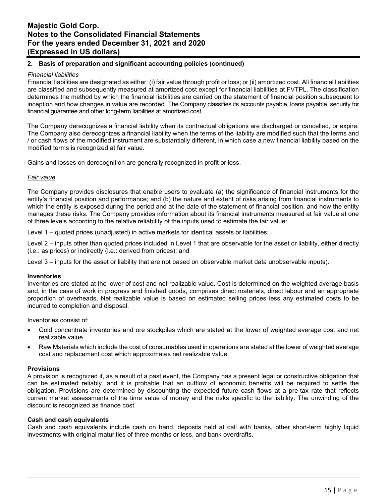#### **2. Basis of preparation and significant accounting policies (continued)**

#### *Financial liabilities*

Financial liabilities are designated as either: (i) fair value through profit or loss; or (ii) amortized cost. All financial liabilities are classified and subsequently measured at amortized cost except for financial liabilities at FVTPL. The classification determines the method by which the financial liabilities are carried on the statement of financial position subsequent to inception and how changes in value are recorded. The Company classifies its accounts payable, loans payable, security for financial guarantee and other long-term liabilities at amortized cost.

The Company derecognizes a financial liability when its contractual obligations are discharged or cancelled, or expire. The Company also derecognizes a financial liability when the terms of the liability are modified such that the terms and / or cash flows of the modified instrument are substantially different, in which case a new financial liability based on the modified terms is recognized at fair value.

Gains and losses on derecognition are generally recognized in profit or loss.

#### *Fair value*

The Company provides disclosures that enable users to evaluate (a) the significance of financial instruments for the entity's financial position and performance; and (b) the nature and extent of risks arising from financial instruments to which the entity is exposed during the period and at the date of the statement of financial position, and how the entity manages these risks. The Company provides information about its financial instruments measured at fair value at one of three levels according to the relative reliability of the inputs used to estimate the fair value:

Level 1 – quoted prices (unadjusted) in active markets for identical assets or liabilities;

Level 2 – inputs other than quoted prices included in Level 1 that are observable for the asset or liability, either directly (i.e.: as prices) or indirectly (i.e.: derived from prices); and

Level 3 – inputs for the asset or liability that are not based on observable market data unobservable inputs).

#### **Inventories**

Inventories are stated at the lower of cost and net realizable value. Cost is determined on the weighted average basis and, in the case of work in progress and finished goods, comprises direct materials, direct labour and an appropriate proportion of overheads. Net realizable value is based on estimated selling prices less any estimated costs to be incurred to completion and disposal.

Inventories consist of:

- Gold concentrate inventories and ore stockpiles which are stated at the lower of weighted average cost and net realizable value.
- Raw Materials which include the cost of consumables used in operations are stated at the lower of weighted average cost and replacement cost which approximates net realizable value.

#### **Provisions**

A provision is recognized if, as a result of a past event, the Company has a present legal or constructive obligation that can be estimated reliably, and it is probable that an outflow of economic benefits will be required to settle the obligation. Provisions are determined by discounting the expected future cash flows at a pre-tax rate that reflects current market assessments of the time value of money and the risks specific to the liability. The unwinding of the discount is recognized as finance cost.

#### **Cash and cash equivalents**

Cash and cash equivalents include cash on hand, deposits held at call with banks, other short-term highly liquid investments with original maturities of three months or less, and bank overdrafts.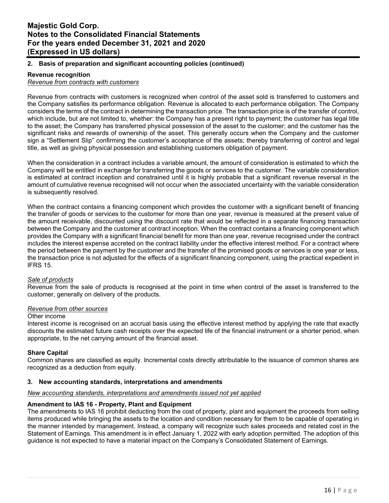## **2. Basis of preparation and significant accounting policies (continued)**

#### **Revenue recognition**

#### *Revenue from contracts with customers*

Revenue from contracts with customers is recognized when control of the asset sold is transferred to customers and the Company satisfies its performance obligation. Revenue is allocated to each performance obligation. The Company considers the terms of the contract in determining the transaction price. The transaction price is of the transfer of control, which include, but are not limited to, whether: the Company has a present right to payment; the customer has legal title to the asset; the Company has transferred physical possession of the asset to the customer; and the customer has the significant risks and rewards of ownership of the asset. This generally occurs when the Company and the customer sign a "Settlement Slip" confirming the customer's acceptance of the assets; thereby transferring of control and legal title, as well as giving physical possession and establishing customers obligation of payment.

When the consideration in a contract includes a variable amount, the amount of consideration is estimated to which the Company will be entitled in exchange for transferring the goods or services to the customer. The variable consideration is estimated at contract inception and constrained until it is highly probable that a significant revenue reversal in the amount of cumulative revenue recognised will not occur when the associated uncertainty with the variable consideration is subsequently resolved.

When the contract contains a financing component which provides the customer with a significant benefit of financing the transfer of goods or services to the customer for more than one year, revenue is measured at the present value of the amount receivable, discounted using the discount rate that would be reflected in a separate financing transaction between the Company and the customer at contract inception. When the contract contains a financing component which provides the Company with a significant financial benefit for more than one year, revenue recognised under the contract includes the interest expense accreted on the contract liability under the effective interest method. For a contract where the period between the payment by the customer and the transfer of the promised goods or services is one year or less, the transaction price is not adjusted for the effects of a significant financing component, using the practical expedient in IFRS 15.

#### *Sale of products*

Revenue from the sale of products is recognised at the point in time when control of the asset is transferred to the customer, generally on delivery of the products.

#### *Revenue from other sources*

#### Other income

Interest income is recognised on an accrual basis using the effective interest method by applying the rate that exactly discounts the estimated future cash receipts over the expected life of the financial instrument or a shorter period, when appropriate, to the net carrying amount of the financial asset.

#### **Share Capital**

Common shares are classified as equity. Incremental costs directly attributable to the issuance of common shares are recognized as a deduction from equity.

#### **3. New accounting standards, interpretations and amendments**

#### *New accounting standards, interpretations and amendments issued not yet applied*

#### **Amendment to IAS 16 - Property, Plant and Equipment**

The amendments to IAS 16 prohibit deducting from the cost of property, plant and equipment the proceeds from selling items produced while bringing the assets to the location and condition necessary for them to be capable of operating in the manner intended by management. Instead, a company will recognize such sales proceeds and related cost in the Statement of Earnings. This amendment is in effect January 1, 2022 with early adoption permitted. The adoption of this guidance is not expected to have a material impact on the Company's Consolidated Statement of Earnings.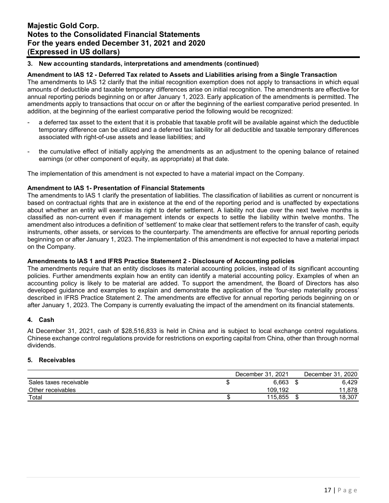#### **3. New accounting standards, interpretations and amendments (continued)**

#### **Amendment to IAS 12 - Deferred Tax related to Assets and Liabilities arising from a Single Transaction**

The amendments to IAS 12 clarify that the initial recognition exemption does not apply to transactions in which equal amounts of deductible and taxable temporary differences arise on initial recognition. The amendments are effective for annual reporting periods beginning on or after January 1, 2023. Early application of the amendments is permitted. The amendments apply to transactions that occur on or after the beginning of the earliest comparative period presented. In addition, at the beginning of the earliest comparative period the following would be recognized:

- a deferred tax asset to the extent that it is probable that taxable profit will be available against which the deductible temporary difference can be utilized and a deferred tax liability for all deductible and taxable temporary differences associated with right-of-use assets and lease liabilities; and
- the cumulative effect of initially applying the amendments as an adjustment to the opening balance of retained earnings (or other component of equity, as appropriate) at that date.

The implementation of this amendment is not expected to have a material impact on the Company.

#### **Amendment to IAS 1- Presentation of Financial Statements**

The amendments to IAS 1 clarify the presentation of liabilities. The classification of liabilities as current or noncurrent is based on contractual rights that are in existence at the end of the reporting period and is unaffected by expectations about whether an entity will exercise its right to defer settlement. A liability not due over the next twelve months is classified as non-current even if management intends or expects to settle the liability within twelve months. The amendment also introduces a definition of 'settlement' to make clear that settlement refers to the transfer of cash, equity instruments, other assets, or services to the counterparty. The amendments are effective for annual reporting periods beginning on or after January 1, 2023. The implementation of this amendment is not expected to have a material impact on the Company.

#### **Amendments to IAS 1 and IFRS Practice Statement 2 - Disclosure of Accounting policies**

The amendments require that an entity discloses its material accounting policies, instead of its significant accounting policies. Further amendments explain how an entity can identify a material accounting policy. Examples of when an accounting policy is likely to be material are added. To support the amendment, the Board of Directors has also developed guidance and examples to explain and demonstrate the application of the 'four-step materiality process' described in IFRS Practice Statement 2. The amendments are effective for annual reporting periods beginning on or after January 1, 2023. The Company is currently evaluating the impact of the amendment on its financial statements.

#### **4. Cash**

At December 31, 2021, cash of \$28,516,833 is held in China and is subject to local exchange control regulations. Chinese exchange control regulations provide for restrictions on exporting capital from China, other than through normal dividends.

#### **5. Receivables**

|                        | December 31, 2021 | December 31, 2020 |
|------------------------|-------------------|-------------------|
| Sales taxes receivable | 6.663             | 6.429             |
| Other receivables      | 109.192           | 11.878            |
| Total                  | 115.855           | 18,307            |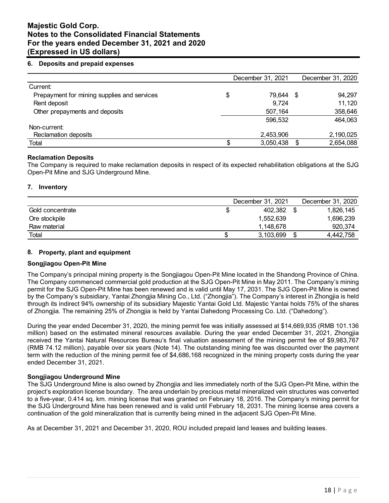#### **6. Deposits and prepaid expenses**

|                                             | December 31, 2021 |      | December 31, 2020 |
|---------------------------------------------|-------------------|------|-------------------|
| Current:                                    |                   |      |                   |
| Prepayment for mining supplies and services | \$<br>79,644      | - \$ | 94,297            |
| Rent deposit                                | 9,724             |      | 11,120            |
| Other prepayments and deposits              | 507,164           |      | 358,646           |
|                                             | 596,532           |      | 464,063           |
| Non-current:                                |                   |      |                   |
| Reclamation deposits                        | 2,453,906         |      | 2,190,025         |
| Total                                       | \$<br>3,050,438   |      | 2,654,088         |

#### **Reclamation Deposits**

The Company is required to make reclamation deposits in respect of its expected rehabilitation obligations at the SJG Open-Pit Mine and SJG Underground Mine.

#### **7. Inventory**

|                  | December 31, 2021 | December 31, 2020 |
|------------------|-------------------|-------------------|
| Gold concentrate | 402.382           | 1,826,145         |
| Ore stockpile    | 1,552,639         | 1,696,239         |
| Raw material     | 1,148,678         | 920,374           |
| Total            | 3,103,699         | \$<br>4,442,758   |

#### **8. Property, plant and equipment**

#### **Songjiagou Open-Pit Mine**

The Company's principal mining property is the Songjiagou Open-Pit Mine located in the Shandong Province of China. The Company commenced commercial gold production at the SJG Open-Pit Mine in May 2011. The Company's mining permit for the SJG Open-Pit Mine has been renewed and is valid until May 17, 2031. The SJG Open-Pit Mine is owned by the Company's subsidiary, Yantai Zhongjia Mining Co., Ltd. ("Zhongjia"). The Company's interest in Zhongjia is held through its indirect 94% ownership of its subsidiary Majestic Yantai Gold Ltd. Majestic Yantai holds 75% of the shares of Zhongjia. The remaining 25% of Zhongjia is held by Yantai Dahedong Processing Co. Ltd. ("Dahedong").

During the year ended December 31, 2020, the mining permit fee was initially assessed at \$14,669,935 (RMB 101.136 million) based on the estimated mineral resources available. During the year ended December 31, 2021, Zhongjia received the Yantai Natural Resources Bureau's final valuation assessment of the mining permit fee of \$9,983,767 (RMB 74.12 million), payable over six years (Note 14). The outstanding mining fee was discounted over the payment term with the reduction of the mining permit fee of \$4,686,168 recognized in the mining property costs during the year ended December 31, 2021.

#### **Songjiagou Underground Mine**

The SJG Underground Mine is also owned by Zhongjia and lies immediately north of the SJG Open-Pit Mine, within the project's exploration license boundary. The area underlain by precious metal mineralized vein structures was converted to a five-year, 0.414 sq. km. mining license that was granted on February 18, 2016. The Company's mining permit for the SJG Underground Mine has been renewed and is valid until February 18, 2031. The mining license area covers a continuation of the gold mineralization that is currently being mined in the adjacent SJG Open-Pit Mine.

As at December 31, 2021 and December 31, 2020, ROU included prepaid land leases and building leases.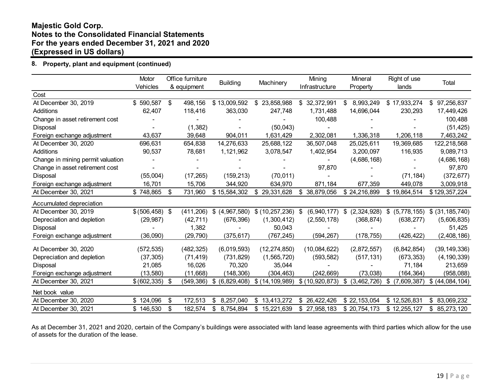## **8. Property, plant and equipment (continued)**

|                                   | Motor<br>Vehicles |     | Office furniture<br>& equipment | <b>Building</b> | Machinery             | Mining<br>Infrastructure | Mineral<br>Property | Right of use<br>lands | Total             |
|-----------------------------------|-------------------|-----|---------------------------------|-----------------|-----------------------|--------------------------|---------------------|-----------------------|-------------------|
| Cost                              |                   |     |                                 |                 |                       |                          |                     |                       |                   |
| At December 30, 2019              | \$590,587         | \$  | 498,156                         | \$13,009,592    | \$23,858,988          | 32,372,991               | 8,993,249<br>\$     | \$17,933,274          | \$97,256,837      |
| Additions                         | 62,407            |     | 118,416                         | 363,030         | 247,748               | 1,731,488                | 14,696,044          | 230,293               | 17,449,426        |
| Change in asset retirement cost   |                   |     |                                 |                 |                       | 100,488                  |                     |                       | 100,488           |
| Disposal                          |                   |     | (1, 382)                        |                 | (50,043)              |                          |                     |                       | (51, 425)         |
| Foreign exchange adjustment       | 43,637            |     | 39,648                          | 904,011         | 1,631,429             | 2,302,081                | 1,336,318           | 1,206,118             | 7,463,242         |
| At December 30, 2020              | 696,631           |     | 654,838                         | 14,276,633      | 25,688,122            | 36,507,048               | 25,025,611          | 19,369,685            | 122,218,568       |
| Additions                         | 90,537            |     | 78,681                          | 1,121,962       | 3,078,547             | 1,402,954                | 3,200,097           | 116,935               | 9,089,713         |
| Change in mining permit valuation |                   |     |                                 |                 |                       |                          | (4,686,168)         |                       | (4,686,168)       |
| Change in asset retirement cost   |                   |     |                                 |                 |                       | 97,870                   |                     |                       | 97,870            |
| Disposal                          | (55,004)          |     | (17, 265)                       | (159, 213)      | (70, 011)             |                          |                     | (71, 184)             | (372, 677)        |
| Foreign exchange adjustment       | 16,701            |     | 15,706                          | 344,920         | 634,970               | 871,184                  | 677,359             | 449,078               | 3,009,918         |
| At December 30, 2021              | \$748,865         | \$  | 731,960                         | \$15,584,302    | \$29,331,628          | \$<br>38,879,056         | \$24,216,899        | \$19,864,514          | \$129,357,224     |
| Accumulated depreciation          |                   |     |                                 |                 |                       |                          |                     |                       |                   |
| At December 30, 2019              | $$ (506, 458)$ \$ |     | (411, 206)                      | $$$ (4,967,580) | $$ (10, 257, 236)$ \$ | (6,940,177)              | (2,324,928)         | (5,778,155)<br>\$     | \$ (31, 185, 740) |
| Depreciation and depletion        | (29, 987)         |     | (42, 711)                       | (676, 396)      | (1,300,412)           | (2,550,178)              | (368, 874)          | (638, 277)            | (5,606,835)       |
| Disposal                          |                   |     | 1,382                           |                 | 50,043                |                          |                     |                       | 51,425            |
| Foreign exchange adjustment       | (36,090)          |     | (29, 790)                       | (375, 617)      | (767, 245)            | (594, 267)               | (178, 755)          | (426, 422)            | (2,408,186)       |
| At December 30, 2020              | (572, 535)        |     | (482, 325)                      | (6,019,593)     | (12, 274, 850)        | (10,084,622)             | (2,872,557)         | (6,842,854)           | (39, 149, 336)    |
| Depreciation and depletion        | (37, 305)         |     | (71, 419)                       | (731, 829)      | (1,565,720)           | (593, 582)               | (517, 131)          | (673, 353)            | (4, 190, 339)     |
| Disposal                          | 21,085            |     | 16,026                          | 70,320          | 35,044                |                          |                     | 71,184                | 213,659           |
| Foreign exchange adjustment       | (13, 580)         |     | (11, 668)                       | (148, 306)      | (304, 463)            | (242, 669)               | (73, 038)           | (164, 364)            | (958,088)         |
| At December 30, 2021              | \$(602,335)       | -\$ | (549, 386)                      | \$ (6,829,408)  | $$$ (14, 109, 989)    | \$(10,920,873)           | $$$ $(3,462,726)$   | \$<br>(7,609,387)     | \$ (44,084,104)   |
| Net book value                    |                   |     |                                 |                 |                       |                          |                     |                       |                   |
| At December 30, 2020              | \$124,096         | \$  | 172,513                         | 8,257,040<br>\$ | 13,413,272<br>\$      | \$<br>26,422,426         | \$22,153,054        | \$12,526,831          | \$83,069,232      |
| At December 30, 2021              | \$146,530         | \$  | 182,574                         | \$<br>8,754,894 | 15,221,639<br>\$      | 27,958,183               | \$20,754,173        | \$12,255,127          | \$85,273,120      |

As at December 31, 2021 and 2020, certain of the Company's buildings were associated with land lease agreements with third parties which allow for the use of assets for the duration of the lease.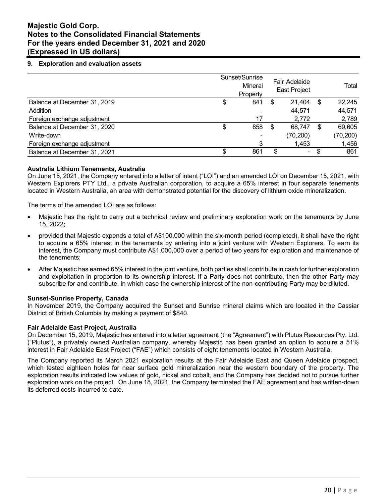#### **9. Exploration and evaluation assets**

|                              | Sunset/Sunrise<br>Mineral<br>Property |    | Fair Adelaide<br>East Project | Total        |
|------------------------------|---------------------------------------|----|-------------------------------|--------------|
| Balance at December 31, 2019 | \$<br>841                             | S  | 21,404                        | \$<br>22,245 |
| Addition                     |                                       |    | 44,571                        | 44,571       |
| Foreign exchange adjustment  | 17                                    |    | 2,772                         | 2,789        |
| Balance at December 31, 2020 | \$<br>858                             | S  | 68,747                        | \$<br>69,605 |
| Write-down                   |                                       |    | (70, 200)                     | (70, 200)    |
| Foreign exchange adjustment  | 3                                     |    | 1,453                         | 1,456        |
| Balance at December 31, 2021 | \$<br>861                             | \$ | ۰.                            | 861          |

#### **Australia Lithium Tenements, Australia**

On June 15, 2021, the Company entered into a letter of intent ("LOI") and an amended LOI on December 15, 2021, with Western Explorers PTY Ltd., a private Australian corporation, to acquire a 65% interest in four separate tenements located in Western Australia, an area with demonstrated potential for the discovery of lithium oxide mineralization.

The terms of the amended LOI are as follows:

- Majestic has the right to carry out a technical review and preliminary exploration work on the tenements by June 15, 2022;
- provided that Majestic expends a total of A\$100,000 within the six-month period (completed), it shall have the right to acquire a 65% interest in the tenements by entering into a joint venture with Western Explorers. To earn its interest, the Company must contribute A\$1,000,000 over a period of two years for exploration and maintenance of the tenements;
- After Majestic has earned 65% interest in the joint venture, both parties shall contribute in cash for further exploration and exploitation in proportion to its ownership interest. If a Party does not contribute, then the other Party may subscribe for and contribute, in which case the ownership interest of the non-contributing Party may be diluted.

#### **Sunset-Sunrise Property, Canada**

In November 2019, the Company acquired the Sunset and Sunrise mineral claims which are located in the Cassiar District of British Columbia by making a payment of \$840.

#### **Fair Adelaide East Project, Australia**

On December 15, 2019, Majestic has entered into a letter agreement (the "Agreement") with Plutus Resources Pty. Ltd. ("Plutus"), a privately owned Australian company, whereby Majestic has been granted an option to acquire a 51% interest in Fair Adelaide East Project ("FAE") which consists of eight tenements located in Western Australia.

The Company reported its March 2021 exploration results at the Fair Adelaide East and Queen Adelaide prospect, which tested eighteen holes for near surface gold mineralization near the western boundary of the property. The exploration results indicated low values of gold, nickel and cobalt, and the Company has decided not to pursue further exploration work on the project. On June 18, 2021, the Company terminated the FAE agreement and has written-down its deferred costs incurred to date.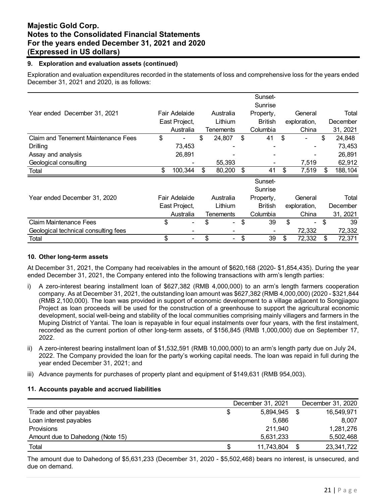#### **9. Exploration and evaluation assets (continued)**

Exploration and evaluation expenditures recorded in the statements of loss and comprehensive loss for the years ended December 31, 2021 and 2020, is as follows:

|                                      |               |              | Sunset-        |              |               |
|--------------------------------------|---------------|--------------|----------------|--------------|---------------|
|                                      |               |              | Sunrise        |              |               |
| Year ended December 31, 2021         | Fair Adelaide | Australia    | Property,      | General      | Total         |
|                                      | East Project, | Lithium      | <b>British</b> | exploration, | December      |
|                                      | Australia     | Tenements    | Columbia       | China        | 31, 2021      |
| Claim and Tenement Maintenance Fees  | \$            | \$<br>24,807 | \$<br>41       | \$           | \$<br>24,848  |
| Drilling                             | 73,453        |              |                |              | 73,453        |
| Assay and analysis                   | 26,891        |              |                |              | 26,891        |
| Geological consulting                |               | 55,393       |                | 7,519        | 62,912        |
| Total                                | \$<br>100,344 | \$<br>80,200 | \$<br>41       | \$<br>7,519  | \$<br>188,104 |
|                                      |               |              | Sunset-        |              |               |
|                                      |               |              | Sunrise        |              |               |
| Year ended December 31, 2020         | Fair Adelaide | Australia    | Property,      | General      | Total         |
|                                      | East Project, | Lithium      | <b>British</b> | exploration, | December      |
|                                      | Australia     | Tenements    | Columbia       | China        | 31, 2021      |
| <b>Claim Maintenance Fees</b>        | \$            | \$<br>Ξ.     | \$<br>39       | \$           | \$<br>39      |
| Geological technical consulting fees |               |              |                | 72,332       | 72,332        |
| Total                                | \$            | \$<br>Ξ.     | \$<br>39       | \$<br>72,332 | \$<br>72,371  |

#### **10. Other long-term assets**

At December 31, 2021, the Company had receivables in the amount of \$620,168 (2020- \$1,854,435). During the year ended December 31, 2021, the Company entered into the following transactions with arm's length parties:

- i) A zero-interest bearing installment loan of \$627,382 (RMB 4,000,000) to an arm's length farmers cooperation company. As at December 31, 2021, the outstanding loan amount was \$627,382 (RMB 4,000,000) (2020 - \$321,844 (RMB 2,100,000). The loan was provided in support of economic development to a village adjacent to Songjiagou Project as loan proceeds will be used for the construction of a greenhouse to support the agricultural economic development, social well-being and stability of the local communities comprising mainly villagers and farmers in the Muping District of Yantai. The loan is repayable in four equal instalments over four years, with the first instalment, recorded as the current portion of other long-term assets, of \$156,845 (RMB 1,000,000) due on September 17, 2022.
- ii) A zero-interest bearing installment loan of \$1,532,591 (RMB 10,000,000) to an arm's length party due on July 24, 2022. The Company provided the loan for the party's working capital needs. The loan was repaid in full during the year ended December 31, 2021; and
- iii) Advance payments for purchases of property plant and equipment of \$149,631 (RMB 954,003).

#### **11. Accounts payable and accrued liabilities**

|                                  | December 31, 2021 | December 31, 2020 |
|----------------------------------|-------------------|-------------------|
| Trade and other payables         | 5,894,945         | 16,549,971        |
| Loan interest payables           | 5.686             | 8.007             |
| <b>Provisions</b>                | 211,940           | 1,281,276         |
| Amount due to Dahedong (Note 15) | 5,631,233         | 5,502,468         |
| Total                            | 11,743,804        | 23,341,722        |

The amount due to Dahedong of \$5,631,233 (December 31, 2020 - \$5,502,468) bears no interest, is unsecured, and due on demand.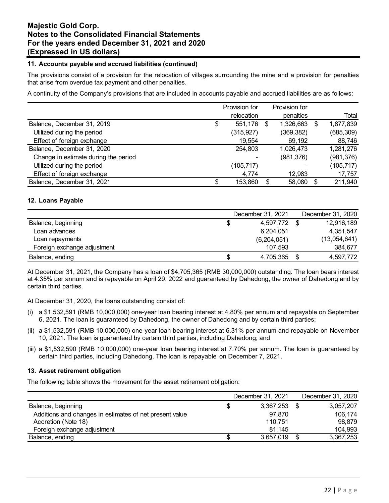#### **11. Accounts payable and accrued liabilities (continued)**

The provisions consist of a provision for the relocation of villages surrounding the mine and a provision for penalties that arise from overdue tax payment and other penalties.

A continuity of the Company's provisions that are included in accounts payable and accrued liabilities are as follows:

|                                      | Provision for |    | Provision for |   |            |
|--------------------------------------|---------------|----|---------------|---|------------|
|                                      | relocation    |    | penalties     |   | Total      |
| Balance, December 31, 2019           | \$<br>551.176 | S  | 1,326,663     | S | 1,877,839  |
| Utilized during the period           | (315, 927)    |    | (369, 382)    |   | (685, 309) |
| Effect of foreign exchange           | 19,554        |    | 69,192        |   | 88,746     |
| Balance, December 31, 2020           | 254,803       |    | 1,026,473     |   | 1,281,276  |
| Change in estimate during the period |               |    | (981, 376)    |   | (981, 376) |
| Utilized during the period           | (105, 717)    |    |               |   | (105, 717) |
| Effect of foreign exchange           | 4,774         |    | 12,983        |   | 17,757     |
| Balance, December 31, 2021           | \$<br>153,860 | \$ | 58,080        |   | 211,940    |

#### **12. Loans Payable**

|                             | December 31, 2021 | December 31, 2020 |
|-----------------------------|-------------------|-------------------|
| Balance, beginning          | 4.597.772         | 12,916,189        |
| Loan advances               | 6,204,051         | 4,351,547         |
| Loan repayments             | (6,204,051)       | (13,054,641)      |
| Foreign exchange adjustment | 107.593           | 384,677           |
| Balance, ending             | 4,705,365         | 4,597,772         |

At December 31, 2021, the Company has a loan of \$4,705,365 (RMB 30,000,000) outstanding. The loan bears interest at 4.35% per annum and is repayable on April 29, 2022 and guaranteed by Dahedong, the owner of Dahedong and by certain third parties.

At December 31, 2020, the loans outstanding consist of:

- (i) a \$1,532,591 (RMB 10,000,000) one-year loan bearing interest at 4.80% per annum and repayable on September 6, 2021. The loan is guaranteed by Dahedong, the owner of Dahedong and by certain third parties;
- (ii) a \$1,532,591 (RMB 10,000,000) one-year loan bearing interest at 6.31% per annum and repayable on November 10, 2021. The loan is guaranteed by certain third parties, including Dahedong; and
- (iii) a \$1,532,590 (RMB 10,000,000) one-year loan bearing interest at 7.70% per annum. The loan is guaranteed by certain third parties, including Dahedong. The loan is repayable on December 7, 2021.

#### **13. Asset retirement obligation**

The following table shows the movement for the asset retirement obligation:

|                                                         | December 31, 2021 | December 31, 2020 |
|---------------------------------------------------------|-------------------|-------------------|
| Balance, beginning                                      | \$<br>3,367,253   | 3,057,207         |
| Additions and changes in estimates of net present value | 97,870            | 106,174           |
| Accretion (Note 18)                                     | 110,751           | 98,879            |
| Foreign exchange adjustment                             | 81,145            | 104,993           |
| Balance, ending                                         | 3,657,019         | 3,367,253         |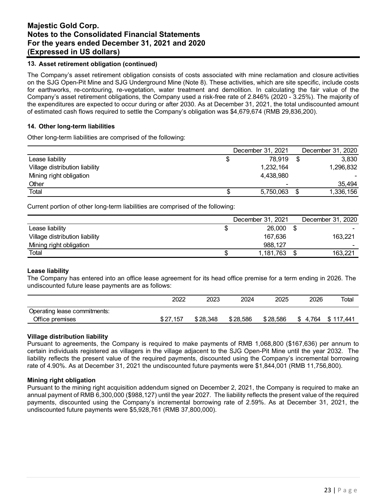#### **13. Asset retirement obligation (continued)**

The Company's asset retirement obligation consists of costs associated with mine reclamation and closure activities on the SJG Open-Pit Mine and SJG Underground Mine (Note 8). These activities, which are site specific, include costs for earthworks, re-contouring, re-vegetation, water treatment and demolition. In calculating the fair value of the Company's asset retirement obligations, the Company used a risk-free rate of 2.846% (2020 - 3.25%). The majority of the expenditures are expected to occur during or after 2030. As at December 31, 2021, the total undiscounted amount of estimated cash flows required to settle the Company's obligation was \$4,679,674 (RMB 29,836,200).

#### **14. Other long-term liabilities**

Other long-term liabilities are comprised of the following:

|                                | December 31, 2021 | December 31, 2020 |
|--------------------------------|-------------------|-------------------|
| Lease liability                | 78,919            | 3.830             |
| Village distribution liability | 1,232,164         | 1,296,832         |
| Mining right obligation        | 4,438,980         |                   |
| Other                          | -                 | 35,494            |
| Total                          | 5,750,063         | 1,336,156         |

Current portion of other long-term liabilities are comprised of the following:

|                                | December 31, 2021 | December 31, 2020        |
|--------------------------------|-------------------|--------------------------|
| Lease liability                | 26,000            |                          |
| Village distribution liability | 167.636           | 163.221                  |
| Mining right obligation        | 988.127           | $\overline{\phantom{0}}$ |
| Total                          | 1,181,763         | 163.221                  |

#### **Lease liability**

The Company has entered into an office lease agreement for its head office premise for a term ending in 2026. The undiscounted future lease payments are as follows:

|                              | 2022     | 2023     | 2024     | 2025     | 2026        | Total     |
|------------------------------|----------|----------|----------|----------|-------------|-----------|
| Operating lease commitments: |          |          |          |          |             |           |
| Office premises              | \$27.157 | \$28.348 | \$28.586 | \$28.586 | 4.764<br>\$ | \$117.441 |

#### **Village distribution liability**

Pursuant to agreements, the Company is required to make payments of RMB 1,068,800 (\$167,636) per annum to certain individuals registered as villagers in the village adjacent to the SJG Open-Pit Mine until the year 2032. The liability reflects the present value of the required payments, discounted using the Company's incremental borrowing rate of 4.90%. As at December 31, 2021 the undiscounted future payments were \$1,844,001 (RMB 11,756,800).

#### **Mining right obligation**

Pursuant to the mining right acquisition addendum signed on December 2, 2021, the Company is required to make an annual payment of RMB 6,300,000 (\$988,127) until the year 2027. The liability reflects the present value of the required payments, discounted using the Company's incremental borrowing rate of 2.59%. As at December 31, 2021, the undiscounted future payments were \$5,928,761 (RMB 37,800,000).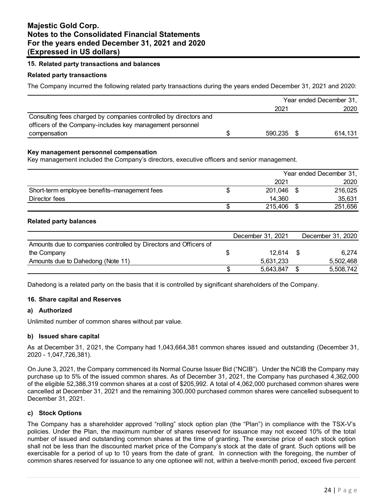#### **15. Related party transactions and balances**

#### **Related party transactions**

The Company incurred the following related party transactions during the years ended December 31, 2021 and 2020:

|                                                                  |         | Year ended December 31, |
|------------------------------------------------------------------|---------|-------------------------|
|                                                                  | 2021    | 2020                    |
| Consulting fees charged by companies controlled by directors and |         |                         |
| officers of the Company-includes key management personnel        |         |                         |
| compensation                                                     | 590.235 | 614.131                 |

#### **Key management personnel compensation**

Key management included the Company's directors, executive officers and senior management.

|                                              |         | Year ended December 31, |
|----------------------------------------------|---------|-------------------------|
|                                              | 2021    | 2020                    |
| Short-term employee benefits-management fees | 201,046 | 216,025                 |
| Director fees                                | 14.360  | 35.631                  |
|                                              | 215,406 | 251,656                 |

#### **Related party balances**

|                                                                  | December 31, 2021 | December 31, 2020 |
|------------------------------------------------------------------|-------------------|-------------------|
| Amounts due to companies controlled by Directors and Officers of |                   |                   |
| the Company                                                      | 12.614            | 6.274             |
| Amounts due to Dahedong (Note 11)                                | 5.631.233         | 5,502,468         |
|                                                                  | 5,643,847         | 5,508,742         |

Dahedong is a related party on the basis that it is controlled by significant shareholders of the Company.

#### **16. Share capital and Reserves**

#### **a) Authorized**

Unlimited number of common shares without par value.

#### **b) Issued share capital**

As at December 31, 2021, the Company had 1,043,664,381 common shares issued and outstanding (December 31, 2020 - 1,047,726,381).

On June 3, 2021, the Company commenced its Normal Course Issuer Bid ("NCIB"). Under the NCIB the Company may purchase up to 5% of the issued common shares. As of December 31, 2021, the Company has purchased 4,362,000 of the eligible 52,386,319 common shares at a cost of \$205,992. A total of 4,062,000 purchased common shares were cancelled at December 31, 2021 and the remaining 300,000 purchased common shares were cancelled subsequent to December 31, 2021.

#### **c) Stock Options**

The Company has a shareholder approved "rolling" stock option plan (the "Plan") in compliance with the TSX-V's policies. Under the Plan, the maximum number of shares reserved for issuance may not exceed 10% of the total number of issued and outstanding common shares at the time of granting. The exercise price of each stock option shall not be less than the discounted market price of the Company's stock at the date of grant. Such options will be exercisable for a period of up to 10 years from the date of grant. In connection with the foregoing, the number of common shares reserved for issuance to any one optionee will not, within a twelve-month period, exceed five percent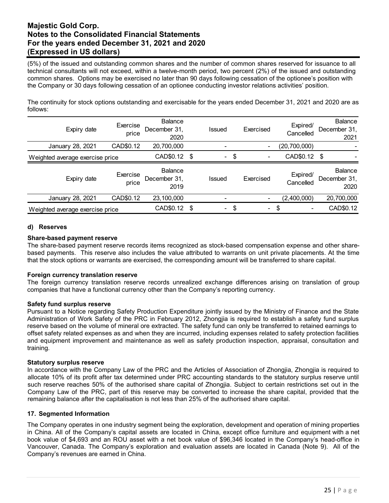(5%) of the issued and outstanding common shares and the number of common shares reserved for issuance to all technical consultants will not exceed, within a twelve-month period, two percent (2%) of the issued and outstanding common shares. Options may be exercised no later than 90 days following cessation of the optionee's position with the Company or 30 days following cessation of an optionee conducting investor relations activities' position.

The continuity for stock options outstanding and exercisable for the years ended December 31, 2021 and 2020 are as follows:

| Expiry date                     | Exercise<br>price | <b>Balance</b><br>December 31,<br>2020 | Issued       |   | Exercised      | Expired/<br>Cancelled | <b>Balance</b><br>December 31,<br>2021 |
|---------------------------------|-------------------|----------------------------------------|--------------|---|----------------|-----------------------|----------------------------------------|
| January 28, 2021                | CAD\$0.12         | 20,700,000                             | ۰            |   | $\blacksquare$ | (20,700,000)          |                                        |
| Weighted average exercise price |                   | CAD\$0.12                              | \$<br>$\sim$ | S | $\blacksquare$ | CAD\$0.12             | \$                                     |
| Expiry date                     | Exercise<br>price | <b>Balance</b><br>December 31.<br>2019 | Issued       |   | Exercised      | Expired/<br>Cancelled | Balance<br>December 31.                |
|                                 |                   |                                        |              |   |                |                       | 2020                                   |
| January 28, 2021                | CAD\$0.12         | 23,100,000                             |              |   | $\blacksquare$ | (2,400,000)           | 20,700,000                             |

#### **d) Reserves**

#### **Share-based payment reserve**

The share-based payment reserve records items recognized as stock-based compensation expense and other sharebased payments. This reserve also includes the value attributed to warrants on unit private placements. At the time that the stock options or warrants are exercised, the corresponding amount will be transferred to share capital.

#### **Foreign currency translation reserve**

The foreign currency translation reserve records unrealized exchange differences arising on translation of group companies that have a functional currency other than the Company's reporting currency.

#### **Safety fund surplus reserve**

Pursuant to a Notice regarding Safety Production Expenditure jointly issued by the Ministry of Finance and the State Administration of Work Safety of the PRC in February 2012, Zhongjia is required to establish a safety fund surplus reserve based on the volume of mineral ore extracted. The safety fund can only be transferred to retained earnings to offset safety related expenses as and when they are incurred, including expenses related to safety protection facilities and equipment improvement and maintenance as well as safety production inspection, appraisal, consultation and training.

#### **Statutory surplus reserve**

In accordance with the Company Law of the PRC and the Articles of Association of Zhongjia, Zhongjia is required to allocate 10% of its profit after tax determined under PRC accounting standards to the statutory surplus reserve until such reserve reaches 50% of the authorised share capital of Zhongjia. Subject to certain restrictions set out in the Company Law of the PRC, part of this reserve may be converted to increase the share capital, provided that the remaining balance after the capitalisation is not less than 25% of the authorised share capital.

#### **17. Segmented Information**

The Company operates in one industry segment being the exploration, development and operation of mining properties in China. All of the Company's capital assets are located in China, except office furniture and equipment with a net book value of \$4,693 and an ROU asset with a net book value of \$96,346 located in the Company's head-office in Vancouver, Canada. The Company's exploration and evaluation assets are located in Canada (Note 9). All of the Company's revenues are earned in China.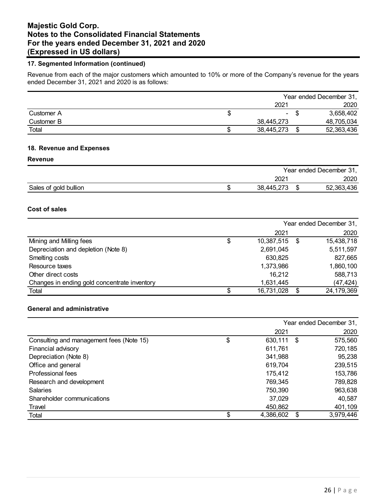## **17. Segmented Information (continued)**

Revenue from each of the major customers which amounted to 10% or more of the Company's revenue for the years ended December 31, 2021 and 2020 is as follows:

|            |                | Year ended December 31, |
|------------|----------------|-------------------------|
|            | 2021           | 2020                    |
| Customer A | $\blacksquare$ | 3,658,402               |
| Customer B | 38,445,273     | 48,705,034              |
| Total      | 38,445,273     | 52,363,436              |

#### **18. Revenue and Expenses**

#### **Revenue**

|                       |            | Year ended December 31, |            |  |  |
|-----------------------|------------|-------------------------|------------|--|--|
|                       | 2021       |                         | 2020       |  |  |
| Sales of gold bullion | 38,445,273 |                         | 52,363,436 |  |  |

#### **Cost of sales**

|                                              | Year ended December 31, |      |              |  |
|----------------------------------------------|-------------------------|------|--------------|--|
|                                              | 2021                    |      | 2020         |  |
| Mining and Milling fees                      | \$<br>10,387,515        | - \$ | 15,438,718   |  |
| Depreciation and depletion (Note 8)          | 2,691,045               |      | 5,511,597    |  |
| Smelting costs                               | 630,825                 |      | 827,665      |  |
| Resource taxes                               | 1,373,986               |      | 1,860,100    |  |
| Other direct costs                           | 16,212                  |      | 588,713      |  |
| Changes in ending gold concentrate inventory | 1,631,445               |      | (47, 424)    |  |
| Total                                        | 16,731,028              |      | 24, 179, 369 |  |

#### **General and administrative**

|                                          |                 |      | Year ended December 31, |
|------------------------------------------|-----------------|------|-------------------------|
|                                          | 2021            |      | 2020                    |
| Consulting and management fees (Note 15) | \$<br>630,111   | - \$ | 575,560                 |
| Financial advisory                       | 611,761         |      | 720,185                 |
| Depreciation (Note 8)                    | 341,988         |      | 95,238                  |
| Office and general                       | 619,704         |      | 239,515                 |
| Professional fees                        | 175,412         |      | 153,786                 |
| Research and development                 | 769,345         |      | 789,828                 |
| <b>Salaries</b>                          | 750,390         |      | 963,638                 |
| Shareholder communications               | 37,029          |      | 40,587                  |
| Travel                                   | 450,862         |      | 401,109                 |
| Total                                    | \$<br>4,386,602 | S    | 3,979,446               |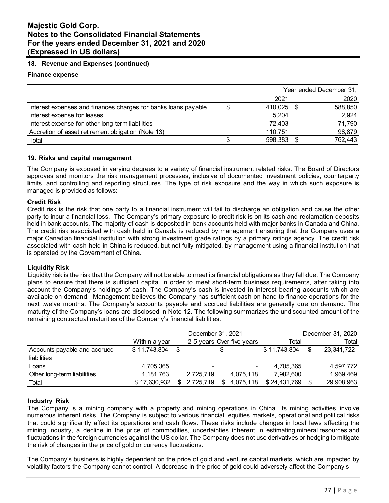#### **18. Revenue and Expenses (continued)**

#### **Finance expense**

|                                                                |         |      | Year ended December 31, |
|----------------------------------------------------------------|---------|------|-------------------------|
|                                                                | 2021    |      | 2020                    |
| Interest expenses and finances charges for banks loans payable | 410,025 | - \$ | 588,850                 |
| Interest expense for leases                                    | 5,204   |      | 2,924                   |
| Interest expense for other long-term liabilities               | 72,403  |      | 71,790                  |
| Accretion of asset retirement obligation (Note 13)             | 110,751 |      | 98,879                  |
| Total                                                          | 598,383 |      | 762,443                 |

#### **19. Risks and capital management**

The Company is exposed in varying degrees to a variety of financial instrument related risks. The Board of Directors approves and monitors the risk management processes, inclusive of documented investment policies, counterparty limits, and controlling and reporting structures. The type of risk exposure and the way in which such exposure is managed is provided as follows:

#### **Credit Risk**

Credit risk is the risk that one party to a financial instrument will fail to discharge an obligation and cause the other party to incur a financial loss. The Company's primary exposure to credit risk is on its cash and reclamation deposits held in bank accounts. The majority of cash is deposited in bank accounts held with major banks in Canada and China. The credit risk associated with cash held in Canada is reduced by management ensuring that the Company uses a major Canadian financial institution with strong investment grade ratings by a primary ratings agency. The credit risk associated with cash held in China is reduced, but not fully mitigated, by management using a financial institution that is operated by the Government of China.

#### **Liquidity Risk**

Liquidity risk is the risk that the Company will not be able to meet its financial obligations as they fall due. The Company plans to ensure that there is sufficient capital in order to meet short-term business requirements, after taking into account the Company's holdings of cash. The Company's cash is invested in interest bearing accounts which are available on demand. Management believes the Company has sufficient cash on hand to finance operations for the next twelve months. The Company's accounts payable and accrued liabilities are generally due on demand. The maturity of the Company's loans are disclosed in Note 12. The following summarizes the undiscounted amount of the remaining contractual maturities of the Company's financial liabilities.

|                                             |               | December 31, 2021 |     |                           |                   | December 31, 2020 |
|---------------------------------------------|---------------|-------------------|-----|---------------------------|-------------------|-------------------|
|                                             | Within a year |                   |     | 2-5 years Over five years | Total             | Total             |
| Accounts payable and accrued<br>liabilities | \$11,743,804  | \$<br>$\sim 100$  | -\$ |                           | $-$ \$ 11,743,804 | \$<br>23,341,722  |
| Loans                                       | 4,705,365     | -                 |     | $\overline{\phantom{a}}$  | 4,705,365         | 4,597,772         |
| Other long-term liabilities                 | 1,181,763     | 2,725,719         |     | 4,075,118                 | 7,982,600         | 1,969,469         |
| Total                                       | \$17,630,932  | 2.725.719         |     | 4,075,118                 | \$24.431.769      | 29,908,963        |

#### **Industry Risk**

The Company is a mining company with a property and mining operations in China. Its mining activities involve numerous inherent risks. The Company is subject to various financial, equities markets, operational and political risks that could significantly affect its operations and cash flows. These risks include changes in local laws affecting the mining industry, a decline in the price of commodities, uncertainties inherent in estimating mineral resources and fluctuations in the foreign currencies against the US dollar. The Company does not use derivatives or hedging to mitigate the risk of changes in the price of gold or currency fluctuations.

The Company's business is highly dependent on the price of gold and venture capital markets, which are impacted by volatility factors the Company cannot control. A decrease in the price of gold could adversely affect the Company's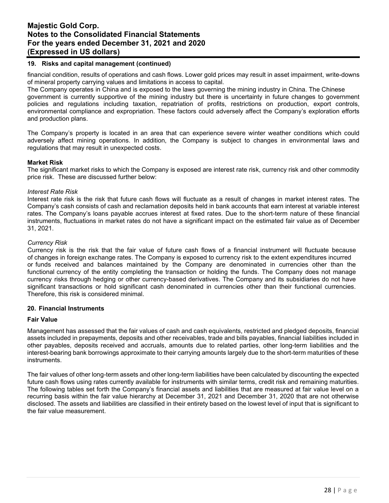#### **19. Risks and capital management (continued)**

financial condition, results of operations and cash flows. Lower gold prices may result in asset impairment, write-downs of mineral property carrying values and limitations in access to capital.

The Company operates in China and is exposed to the laws governing the mining industry in China. The Chinese government is currently supportive of the mining industry but there is uncertainty in future changes to government policies and regulations including taxation, repatriation of profits, restrictions on production, export controls, environmental compliance and expropriation. These factors could adversely affect the Company's exploration efforts and production plans.

The Company's property is located in an area that can experience severe winter weather conditions which could adversely affect mining operations. In addition, the Company is subject to changes in environmental laws and regulations that may result in unexpected costs.

#### **Market Risk**

The significant market risks to which the Company is exposed are interest rate risk, currency risk and other commodity price risk. These are discussed further below:

#### *Interest Rate Risk*

Interest rate risk is the risk that future cash flows will fluctuate as a result of changes in market interest rates. The Company's cash consists of cash and reclamation deposits held in bank accounts that earn interest at variable interest rates. The Company's loans payable accrues interest at fixed rates. Due to the short-term nature of these financial instruments, fluctuations in market rates do not have a significant impact on the estimated fair value as of December 31, 2021.

#### *Currency Risk*

Currency risk is the risk that the fair value of future cash flows of a financial instrument will fluctuate because of changes in foreign exchange rates. The Company is exposed to currency risk to the extent expenditures incurred or funds received and balances maintained by the Company are denominated in currencies other than the functional currency of the entity completing the transaction or holding the funds. The Company does not manage currency risks through hedging or other currency-based derivatives. The Company and its subsidiaries do not have significant transactions or hold significant cash denominated in currencies other than their functional currencies. Therefore, this risk is considered minimal.

#### **20. Financial Instruments**

#### **Fair Value**

Management has assessed that the fair values of cash and cash equivalents, restricted and pledged deposits, financial assets included in prepayments, deposits and other receivables, trade and bills payables, financial liabilities included in other payables, deposits received and accruals, amounts due to related parties, other long-term liabilities and the interest-bearing bank borrowings approximate to their carrying amounts largely due to the short-term maturities of these instruments.

The fair values of other long-term assets and other long-term liabilities have been calculated by discounting the expected future cash flows using rates currently available for instruments with similar terms, credit risk and remaining maturities. The following tables set forth the Company's financial assets and liabilities that are measured at fair value level on a recurring basis within the fair value hierarchy at December 31, 2021 and December 31, 2020 that are not otherwise disclosed. The assets and liabilities are classified in their entirety based on the lowest level of input that is significant to the fair value measurement.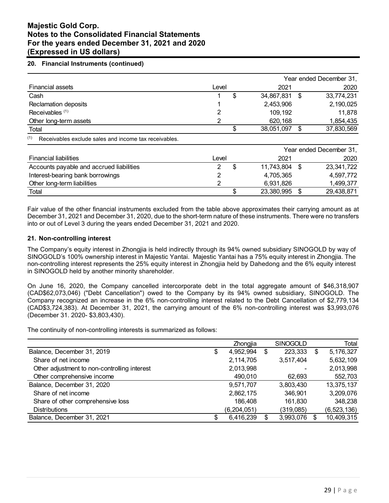#### **20. Financial Instruments (continued)**

|                            | Year ended December 31, |  |            |  |            |  |
|----------------------------|-------------------------|--|------------|--|------------|--|
| <b>Financial assets</b>    | Level                   |  | 2021       |  | 2020       |  |
| Cash                       | S                       |  | 34,867,831 |  | 33,774,231 |  |
| Reclamation deposits       |                         |  | 2,453,906  |  | 2,190,025  |  |
| Receivables <sup>(1)</sup> |                         |  | 109,192    |  | 11,878     |  |
| Other long-term assets     |                         |  | 620,168    |  | 1,854,435  |  |
| Total                      |                         |  | 38,051,097 |  | 37,830,569 |  |

 $(1)$  Receivables exclude sales and income tax receivables.

|                                          |       |            | Year ended December 31, |            |
|------------------------------------------|-------|------------|-------------------------|------------|
| <b>Financial liabilities</b>             | Level | 2021       |                         | 2020       |
| Accounts payable and accrued liabilities |       | 11,743,804 |                         | 23,341,722 |
| Interest-bearing bank borrowings         |       | 4,705,365  |                         | 4.597.772  |
| Other long-term liabilities              |       | 6,931,826  |                         | 1.499.377  |
| Total                                    |       | 23,380,995 |                         | 29,438,871 |

Fair value of the other financial instruments excluded from the table above approximates their carrying amount as at December 31, 2021 and December 31, 2020, due to the short-term nature of these instruments. There were no transfers into or out of Level 3 during the years ended December 31, 2021 and 2020.

#### **21. Non-controlling interest**

The Company's equity interest in Zhongjia is held indirectly through its 94% owned subsidiary SINOGOLD by way of SINOGOLD's 100% ownership interest in Majestic Yantai. Majestic Yantai has a 75% equity interest in Zhongjia. The non-controlling interest represents the 25% equity interest in Zhongjia held by Dahedong and the 6% equity interest in SINOGOLD held by another minority shareholder.

On June 16, 2020, the Company cancelled intercorporate debt in the total aggregate amount of \$46,318,907 (CAD\$62,073,046) ("Debt Cancellation") owed to the Company by its 94% owned subsidiary, SINOGOLD. The Company recognized an increase in the 6% non-controlling interest related to the Debt Cancellation of \$2,779,134 (CAD\$3,724,383). At December 31, 2021, the carrying amount of the 6% non-controlling interest was \$3,993,076 (December 31. 2020- \$3,803,430).

The continuity of non-controlling interests is summarized as follows:

|                                              |    | Zhongjia      | <b>SINOGOLD</b> |   | Total         |
|----------------------------------------------|----|---------------|-----------------|---|---------------|
| Balance, December 31, 2019                   | \$ | 4,952,994     | \$<br>223,333   | S | 5,176,327     |
| Share of net income                          |    | 2,114,705     | 3,517,404       |   | 5,632,109     |
| Other adjustment to non-controlling interest |    | 2,013,998     |                 |   | 2,013,998     |
| Other comprehensive income                   |    | 490,010       | 62.693          |   | 552,703       |
| Balance, December 31, 2020                   |    | 9,571,707     | 3,803,430       |   | 13,375,137    |
| Share of net income                          |    | 2,862,175     | 346,901         |   | 3,209,076     |
| Share of other comprehensive loss            |    | 186,408       | 161,830         |   | 348,238       |
| <b>Distributions</b>                         |    | (6, 204, 051) | (319,085)       |   | (6, 523, 136) |
| Balance, December 31, 2021                   | S  | 6,416,239     | \$<br>3,993,076 |   | 10,409,315    |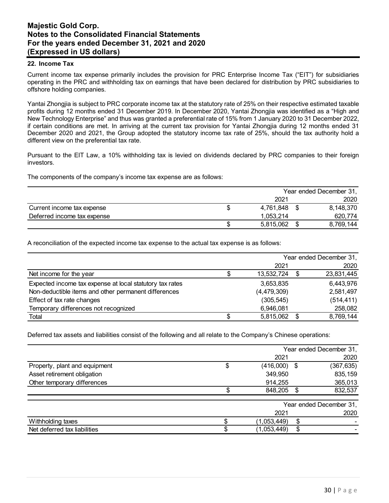#### **22. Income Tax**

Current income tax expense primarily includes the provision for PRC Enterprise Income Tax ("EIT") for subsidiaries operating in the PRC and withholding tax on earnings that have been declared for distribution by PRC subsidiaries to offshore holding companies.

Yantai Zhongjia is subject to PRC corporate income tax at the statutory rate of 25% on their respective estimated taxable profits during 12 months ended 31 December 2019. In December 2020, Yantai Zhongjia was identified as a "High and New Technology Enterprise" and thus was granted a preferential rate of 15% from 1 January 2020 to 31 December 2022, if certain conditions are met. In arriving at the current tax provision for Yantai Zhongjia during 12 months ended 31 December 2020 and 2021, the Group adopted the statutory income tax rate of 25%, should the tax authority hold a different view on the preferential tax rate.

Pursuant to the EIT Law, a 10% withholding tax is levied on dividends declared by PRC companies to their foreign investors.

The components of the company's income tax expense are as follows:

|                             |           | Year ended December 31, |
|-----------------------------|-----------|-------------------------|
|                             | 2021      | 2020                    |
| Current income tax expense  | 4.761.848 | 8,148,370               |
| Deferred income tax expense | 1.053.214 | 620.774                 |
|                             | 5,815,062 | 8,769,144               |

A reconciliation of the expected income tax expense to the actual tax expense is as follows:

|                                                          | Year ended December 31, |  |            |  |  |
|----------------------------------------------------------|-------------------------|--|------------|--|--|
|                                                          | 2021                    |  | 2020       |  |  |
| Net income for the year                                  | 13,532,724              |  | 23,831,445 |  |  |
| Expected income tax expense at local statutory tax rates | 3,653,835               |  | 6,443,976  |  |  |
| Non-deductible items and other permanent differences     | (4, 479, 309)           |  | 2,581,497  |  |  |
| Effect of tax rate changes                               | (305, 545)              |  | (514, 411) |  |  |
| Temporary differences not recognized                     | 6,946,081               |  | 258,082    |  |  |
| Total                                                    | 5,815,062               |  | 8,769,144  |  |  |

Deferred tax assets and liabilities consist of the following and all relate to the Company's Chinese operations:

|                               |    |             |      | Year ended December 31, |
|-------------------------------|----|-------------|------|-------------------------|
|                               |    | 2021        |      | 2020                    |
| Property, plant and equipment | \$ | (416,000)   | - \$ | (367, 635)              |
| Asset retirement obligation   |    | 349,950     |      | 835,159                 |
| Other temporary differences   |    | 914,255     |      | 365,013                 |
|                               |    | 848,205     | - \$ | 832,537                 |
|                               |    |             |      | Year ended December 31, |
|                               |    | 2021        |      | 2020                    |
| Withholding taxes             | S  | (1,053,449) | \$   |                         |
| Net deferred tax liabilities  | c  | (1,053,449) | \$   |                         |